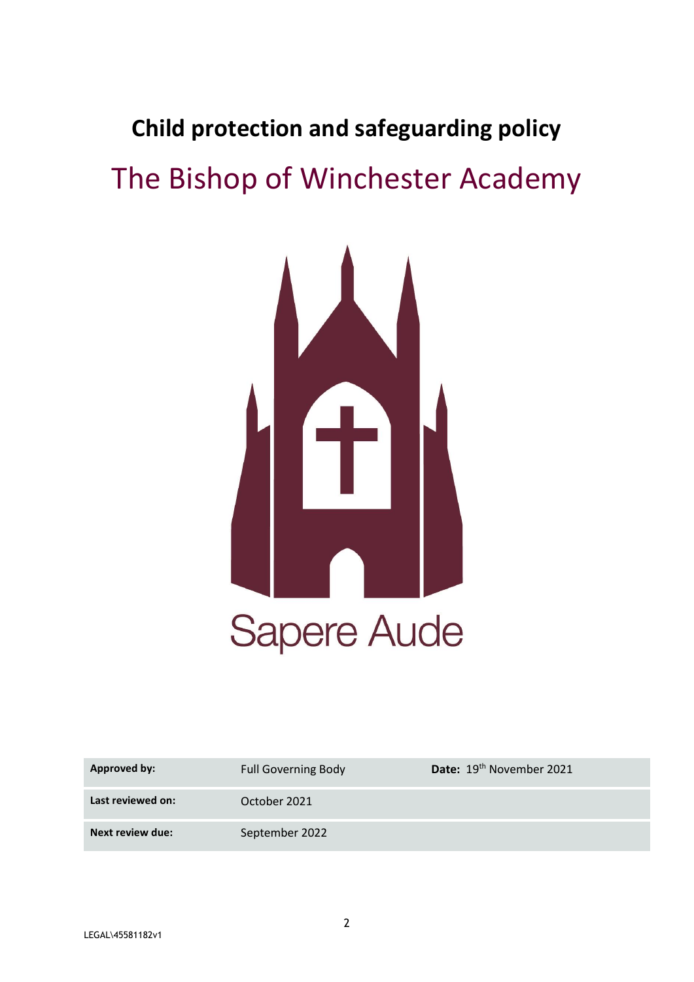# **Child protection and safeguarding policy** The Bishop of Winchester Academy



| <b>Approved by:</b> | <b>Full Governing Body</b> | Date: 19 <sup>th</sup> November 2021 |
|---------------------|----------------------------|--------------------------------------|
| Last reviewed on:   | October 2021               |                                      |
| Next review due:    | September 2022             |                                      |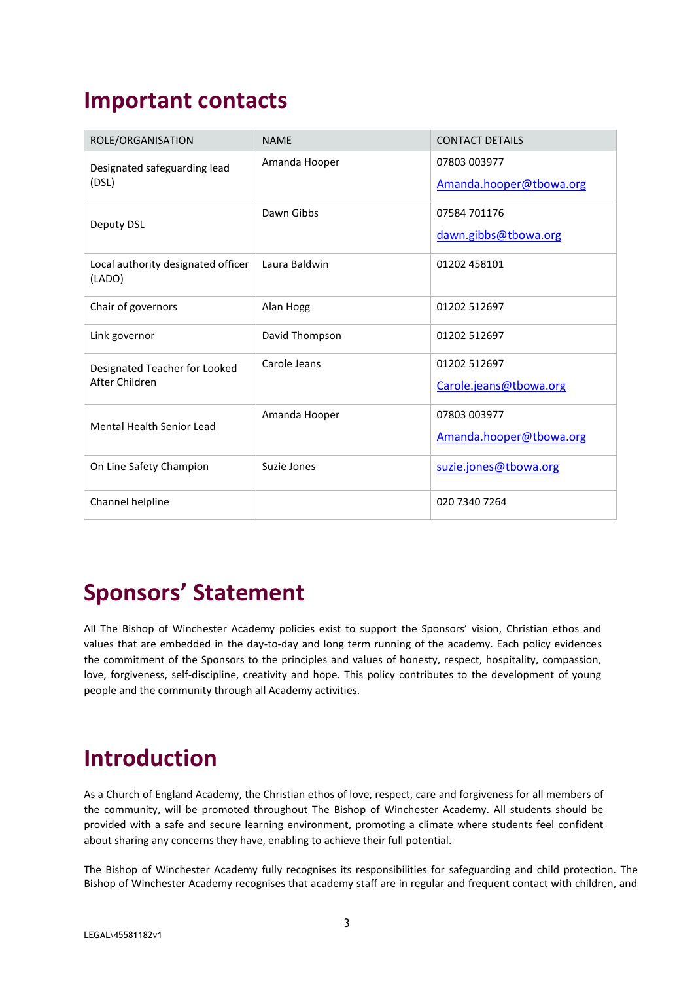## **Important contacts**

| ROLE/ORGANISATION                            | <b>NAME</b>    | <b>CONTACT DETAILS</b>  |
|----------------------------------------------|----------------|-------------------------|
| Designated safeguarding lead<br>(DSL)        | Amanda Hooper  | 07803 003977            |
|                                              |                | Amanda.hooper@tbowa.org |
| Deputy DSL                                   | Dawn Gibbs     | 07584 701176            |
|                                              |                | dawn.gibbs@tbowa.org    |
| Local authority designated officer<br>(LADO) | Laura Baldwin  | 01202 458101            |
| Chair of governors                           | Alan Hogg      | 01202 512697            |
| Link governor                                | David Thompson | 01202 512697            |
| Designated Teacher for Looked                | Carole Jeans   | 01202 512697            |
| After Children                               |                | Carole.jeans@tbowa.org  |
| Mental Health Senior Lead                    | Amanda Hooper  | 07803 003977            |
|                                              |                | Amanda.hooper@tbowa.org |
| On Line Safety Champion                      | Suzie Jones    | suzie.jones@tbowa.org   |
| Channel helpline                             |                | 020 7340 7264           |

## **Sponsors' Statement**

All The Bishop of Winchester Academy policies exist to support the Sponsors' vision, Christian ethos and values that are embedded in the day-to-day and long term running of the academy. Each policy evidences the commitment of the Sponsors to the principles and values of honesty, respect, hospitality, compassion, love, forgiveness, self-discipline, creativity and hope. This policy contributes to the development of young people and the community through all Academy activities.

## **Introduction**

As a Church of England Academy, the Christian ethos of love, respect, care and forgiveness for all members of the community, will be promoted throughout The Bishop of Winchester Academy. All students should be provided with a safe and secure learning environment, promoting a climate where students feel confident about sharing any concerns they have, enabling to achieve their full potential.

The Bishop of Winchester Academy fully recognises its responsibilities for safeguarding and child protection. The Bishop of Winchester Academy recognises that academy staff are in regular and frequent contact with children, and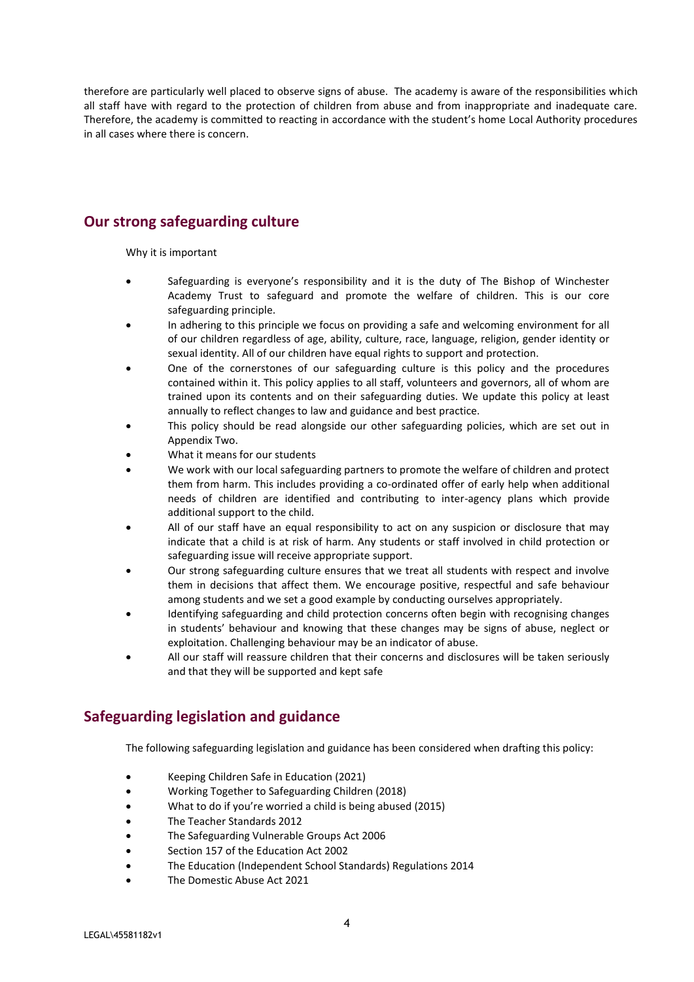therefore are particularly well placed to observe signs of abuse. The academy is aware of the responsibilities which all staff have with regard to the protection of children from abuse and from inappropriate and inadequate care. Therefore, the academy is committed to reacting in accordance with the student's home Local Authority procedures in all cases where there is concern.

## **Our strong safeguarding culture**

Why it is important

- Safeguarding is everyone's responsibility and it is the duty of The Bishop of Winchester Academy Trust to safeguard and promote the welfare of children. This is our core safeguarding principle.
- In adhering to this principle we focus on providing a safe and welcoming environment for all of our children regardless of age, ability, culture, race, language, religion, gender identity or sexual identity. All of our children have equal rights to support and protection.
- One of the cornerstones of our safeguarding culture is this policy and the procedures contained within it. This policy applies to all staff, volunteers and governors, all of whom are trained upon its contents and on their safeguarding duties. We update this policy at least annually to reflect changes to law and guidance and best practice.
- This policy should be read alongside our other safeguarding policies, which are set out in Appendix Two.
- What it means for our students
- We work with our local safeguarding partners to promote the welfare of children and protect them from harm. This includes providing a co-ordinated offer of early help when additional needs of children are identified and contributing to inter-agency plans which provide additional support to the child.
- All of our staff have an equal responsibility to act on any suspicion or disclosure that may indicate that a child is at risk of harm. Any students or staff involved in child protection or safeguarding issue will receive appropriate support.
- Our strong safeguarding culture ensures that we treat all students with respect and involve them in decisions that affect them. We encourage positive, respectful and safe behaviour among students and we set a good example by conducting ourselves appropriately.
- Identifying safeguarding and child protection concerns often begin with recognising changes in students' behaviour and knowing that these changes may be signs of abuse, neglect or exploitation. Challenging behaviour may be an indicator of abuse.
- All our staff will reassure children that their concerns and disclosures will be taken seriously and that they will be supported and kept safe

## **Safeguarding legislation and guidance**

The following safeguarding legislation and guidance has been considered when drafting this policy:

- Keeping Children Safe in Education (2021)
- Working Together to Safeguarding Children (2018)
- What to do if you're worried a child is being abused (2015)
- The Teacher Standards 2012
- The Safeguarding Vulnerable Groups Act 2006
- Section 157 of the Education Act 2002
- The Education (Independent School Standards) Regulations 2014
- The Domestic Abuse Act 2021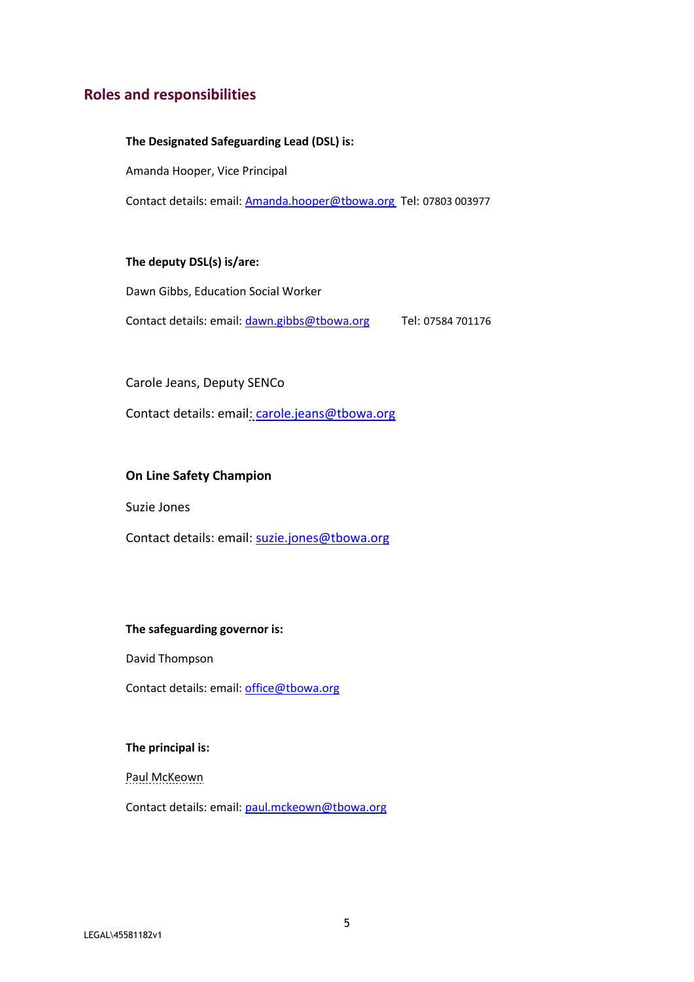## **Roles and responsibilities**

## **The Designated Safeguarding Lead (DSL) is:**

Amanda Hooper, Vice Principal

Contact details: email: [Amanda.hooper@tbowa.org](mailto:Amanda.hooper@tbowa.org) Tel: 07803 003977

## **The deputy DSL(s) is/are:**

Dawn Gibbs, Education Social Worker Contact details: email: [dawn.gibbs@tbowa.org](mailto:dawn.gibbs@tbowa.org) Tel: 07584 701176

Carole Jeans, Deputy SENCo

Contact details: email: [carole.jeans@tbowa.org](mailto:carole.jeans@tbowa.org)

## **On Line Safety Champion**

Suzie Jones

Contact details: email: [suzie.jones@tbowa.org](mailto:suzie.jones@tbowa.org)

#### **The safeguarding governor is:**

David Thompson

Contact details: email: [office@tbowa.org](mailto:office@tbowa.org)

## **The principal is:**

Paul McKeown

Contact details: email: [paul.mckeown@tbowa.org](mailto:paul.mckeown@tbowa.org)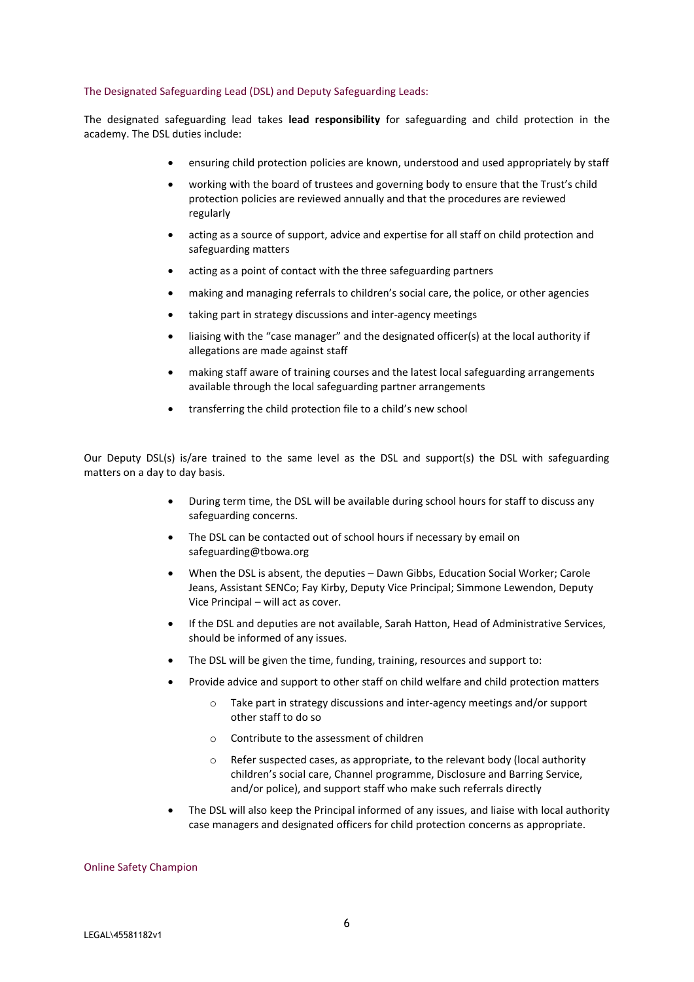#### The Designated Safeguarding Lead (DSL) and Deputy Safeguarding Leads:

The designated safeguarding lead takes **lead responsibility** for safeguarding and child protection in the academy. The DSL duties include:

- ensuring child protection policies are known, understood and used appropriately by staff
- working with the board of trustees and governing body to ensure that the Trust's child protection policies are reviewed annually and that the procedures are reviewed regularly
- acting as a source of support, advice and expertise for all staff on child protection and safeguarding matters
- acting as a point of contact with the three safeguarding partners
- making and managing referrals to children's social care, the police, or other agencies
- taking part in strategy discussions and inter-agency meetings
- liaising with the "case manager" and the designated officer(s) at the local authority if allegations are made against staff
- making staff aware of training courses and the latest local safeguarding arrangements available through the local safeguarding partner arrangements
- transferring the child protection file to a child's new school

Our Deputy DSL(s) is/are trained to the same level as the DSL and support(s) the DSL with safeguarding matters on a day to day basis.

- During term time, the DSL will be available during school hours for staff to discuss any safeguarding concerns.
- The DSL can be contacted out of school hours if necessary by email on [safeguarding@tbowa.org](mailto:safeguarding@tbowa.org)
- When the DSL is absent, the deputies Dawn Gibbs, Education Social Worker; Carole Jeans, Assistant SENCo; Fay Kirby, Deputy Vice Principal; Simmone Lewendon, Deputy Vice Principal – will act as cover.
- If the DSL and deputies are not available, Sarah Hatton, Head of Administrative Services, should be informed of any issues.
- The DSL will be given the time, funding, training, resources and support to:
- Provide advice and support to other staff on child welfare and child protection matters
	- o Take part in strategy discussions and inter-agency meetings and/or support other staff to do so
	- o Contribute to the assessment of children
	- o Refer suspected cases, as appropriate, to the relevant body (local authority children's social care, Channel programme, Disclosure and Barring Service, and/or police), and support staff who make such referrals directly
- The DSL will also keep the Principal informed of any issues, and liaise with local authority case managers and designated officers for child protection concerns as appropriate.

#### Online Safety Champion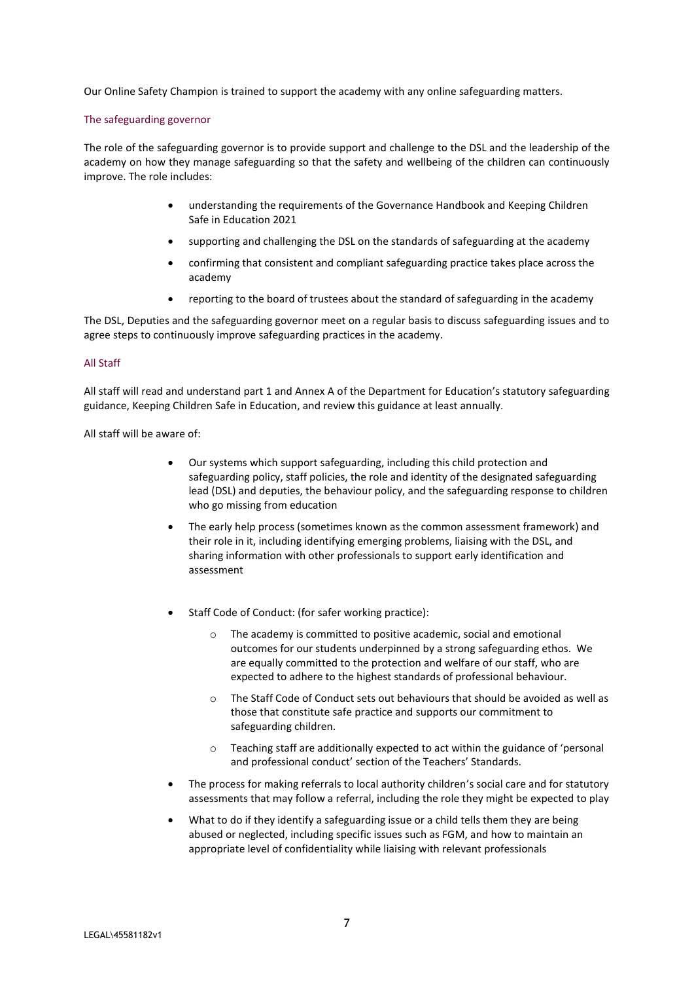Our Online Safety Champion is trained to support the academy with any online safeguarding matters.

#### The safeguarding governor

The role of the safeguarding governor is to provide support and challenge to the DSL and the leadership of the academy on how they manage safeguarding so that the safety and wellbeing of the children can continuously improve. The role includes:

- understanding the requirements of the Governance Handbook and Keeping Children Safe in Education 2021
- supporting and challenging the DSL on the standards of safeguarding at the academy
- confirming that consistent and compliant safeguarding practice takes place across the academy
- reporting to the board of trustees about the standard of safeguarding in the academy

The DSL, Deputies and the safeguarding governor meet on a regular basis to discuss safeguarding issues and to agree steps to continuously improve safeguarding practices in the academy.

#### All Staff

All staff will read and understand part 1 and Annex A of the Department for Education's statutory safeguarding guidance[, Keeping Children Safe in Education,](https://www.gov.uk/government/publications/keeping-children-safe-in-education--2) and review this guidance at least annually.

All staff will be aware of:

- Our systems which support safeguarding, including this child protection and safeguarding policy, staff policies, the role and identity of the designated safeguarding lead (DSL) and deputies, the behaviour policy, and the safeguarding response to children who go missing from education
- The early help process (sometimes known as the common assessment framework) and their role in it, including identifying emerging problems, liaising with the DSL, and sharing information with other professionals to support early identification and assessment
- Staff Code of Conduct: (for safer working practice):
	- o The academy is committed to positive academic, social and emotional outcomes for our students underpinned by a strong safeguarding ethos. We are equally committed to the protection and welfare of our staff, who are expected to adhere to the highest standards of professional behaviour.
	- o The Staff Code of Conduct sets out behaviours that should be avoided as well as those that constitute safe practice and supports our commitment to safeguarding children.
	- $\circ$  Teaching staff are additionally expected to act within the guidance of 'personal and professional conduct' section of the Teachers' Standards.
- The process for making referrals to local authority children's social care and for statutory assessments that may follow a referral, including the role they might be expected to play
- What to do if they identify a safeguarding issue or a child tells them they are being abused or neglected, including specific issues such as FGM, and how to maintain an appropriate level of confidentiality while liaising with relevant professionals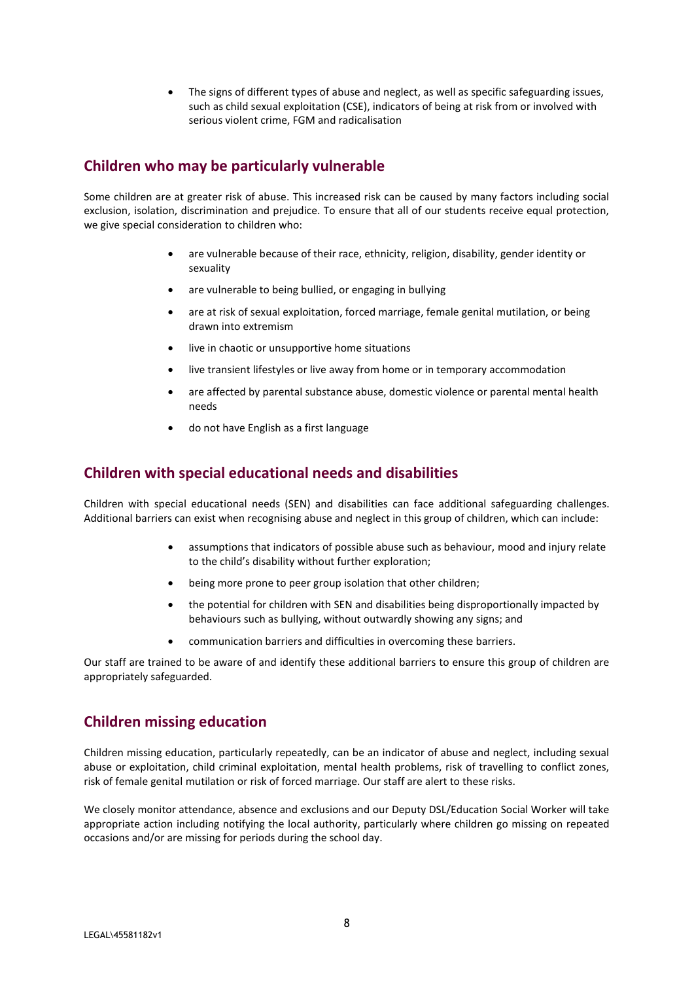• The signs of different types of abuse and neglect, as well as specific safeguarding issues, such as child sexual exploitation (CSE), indicators of being at risk from or involved with serious violent crime, FGM and radicalisation

## **Children who may be particularly vulnerable**

Some children are at greater risk of abuse. This increased risk can be caused by many factors including social exclusion, isolation, discrimination and prejudice. To ensure that all of our students receive equal protection, we give special consideration to children who:

- are vulnerable because of their race, ethnicity, religion, disability, gender identity or sexuality
- are vulnerable to being bullied, or engaging in bullying
- are at risk of sexual exploitation, forced marriage, female genital mutilation, or being drawn into extremism
- live in chaotic or unsupportive home situations
- live transient lifestyles or live away from home or in temporary accommodation
- are affected by parental substance abuse, domestic violence or parental mental health needs
- do not have English as a first language

## **Children with special educational needs and disabilities**

Children with special educational needs (SEN) and disabilities can face additional safeguarding challenges. Additional barriers can exist when recognising abuse and neglect in this group of children, which can include:

- assumptions that indicators of possible abuse such as behaviour, mood and injury relate to the child's disability without further exploration;
- being more prone to peer group isolation that other children;
- the potential for children with SEN and disabilities being disproportionally impacted by behaviours such as bullying, without outwardly showing any signs; and
- communication barriers and difficulties in overcoming these barriers.

Our staff are trained to be aware of and identify these additional barriers to ensure this group of children are appropriately safeguarded.

## **Children missing education**

Children missing education, particularly repeatedly, can be an indicator of abuse and neglect, including sexual abuse or exploitation, child criminal exploitation, mental health problems, risk of travelling to conflict zones, risk of female genital mutilation or risk of forced marriage. Our staff are alert to these risks.

We closely monitor attendance, absence and exclusions and our Deputy DSL/Education Social Worker will take appropriate action including notifying the local authority, particularly where children go missing on repeated occasions and/or are missing for periods during the school day.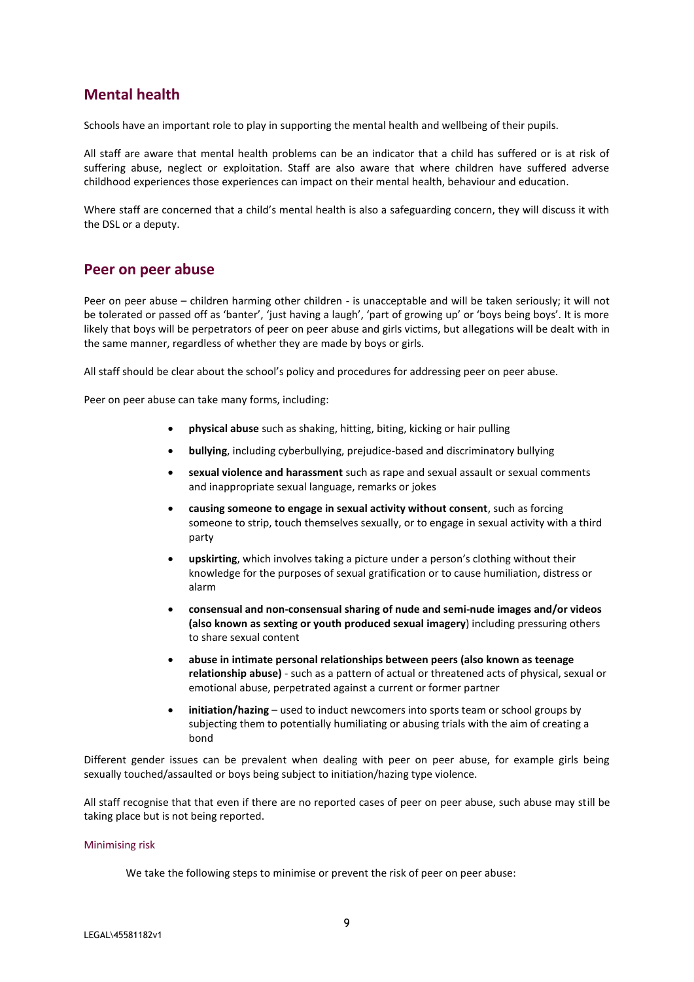## **Mental health**

Schools have an important role to play in supporting the mental health and wellbeing of their pupils.

All staff are aware that mental health problems can be an indicator that a child has suffered or is at risk of suffering abuse, neglect or exploitation. Staff are also aware that where children have suffered adverse childhood experiences those experiences can impact on their mental health, behaviour and education.

Where staff are concerned that a child's mental health is also a safeguarding concern, they will discuss it with the DSL or a deputy.

## **Peer on peer abuse**

Peer on peer abuse – children harming other children - is unacceptable and will be taken seriously; it will not be tolerated or passed off as 'banter', 'just having a laugh', 'part of growing up' or 'boys being boys'. It is more likely that boys will be perpetrators of peer on peer abuse and girls victims, but allegations will be dealt with in the same manner, regardless of whether they are made by boys or girls.

All staff should be clear about the school's policy and procedures for addressing peer on peer abuse.

Peer on peer abuse can take many forms, including:

- **physical abuse** such as shaking, hitting, biting, kicking or hair pulling
- **bullying**, including cyberbullying, prejudice-based and discriminatory bullying
- **sexual violence and harassment** such as rape and sexual assault or sexual comments and inappropriate sexual language, remarks or jokes
- **causing someone to engage in sexual activity without consent**, such as forcing someone to strip, touch themselves sexually, or to engage in sexual activity with a third party
- **upskirting**, which involves taking a picture under a person's clothing without their knowledge for the purposes of sexual gratification or to cause humiliation, distress or alarm
- **consensual and non-consensual sharing of nude and semi-nude images and/or videos (also known as sexting or youth produced sexual imagery**) including pressuring others to share sexual content
- **abuse in intimate personal relationships between peers (also known as teenage relationship abuse)** - such as a pattern of actual or threatened acts of physical, sexual or emotional abuse, perpetrated against a current or former partner
- **initiation/hazing** used to induct newcomers into sports team or school groups by subjecting them to potentially humiliating or abusing trials with the aim of creating a bond

Different gender issues can be prevalent when dealing with peer on peer abuse, for example girls being sexually touched/assaulted or boys being subject to initiation/hazing type violence.

All staff recognise that that even if there are no reported cases of peer on peer abuse, such abuse may still be taking place but is not being reported.

#### Minimising risk

We take the following steps to minimise or prevent the risk of peer on peer abuse: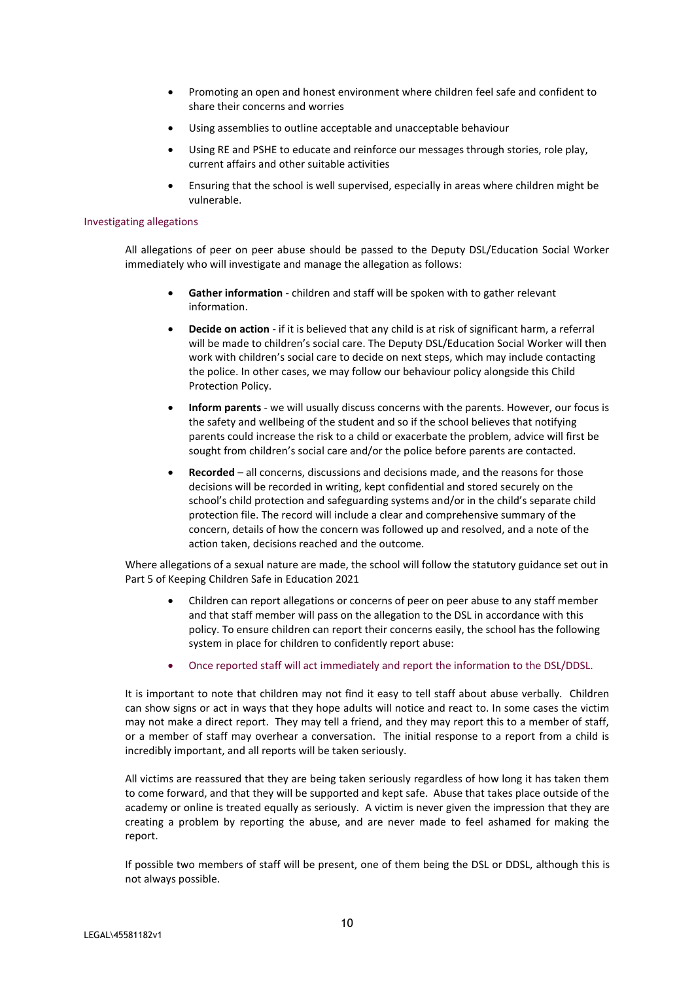- Promoting an open and honest environment where children feel safe and confident to share their concerns and worries
- Using assemblies to outline acceptable and unacceptable behaviour
- Using RE and PSHE to educate and reinforce our messages through stories, role play, current affairs and other suitable activities
- Ensuring that the school is well supervised, especially in areas where children might be vulnerable.

#### Investigating allegations

All allegations of peer on peer abuse should be passed to the Deputy DSL/Education Social Worker immediately who will investigate and manage the allegation as follows:

- **Gather information** children and staff will be spoken with to gather relevant information.
- **Decide on action** if it is believed that any child is at risk of significant harm, a referral will be made to children's social care. The Deputy DSL/Education Social Worker will then work with children's social care to decide on next steps, which may include contacting the police. In other cases, we may follow our behaviour policy alongside this Child Protection Policy.
- **Inform parents**  we will usually discuss concerns with the parents. However, our focus is the safety and wellbeing of the student and so if the school believes that notifying parents could increase the risk to a child or exacerbate the problem, advice will first be sought from children's social care and/or the police before parents are contacted.
- **Recorded** all concerns, discussions and decisions made, and the reasons for those decisions will be recorded in writing, kept confidential and stored securely on the school's child protection and safeguarding systems and/or in the child's separate child protection file. The record will include a clear and comprehensive summary of the concern, details of how the concern was followed up and resolved, and a note of the action taken, decisions reached and the outcome.

Where allegations of a sexual nature are made, the school will follow the statutory guidance set out in Part 5 of Keeping Children Safe in Education 2021

- Children can report allegations or concerns of peer on peer abuse to any staff member and that staff member will pass on the allegation to the DSL in accordance with this policy. To ensure children can report their concerns easily, the school has the following system in place for children to confidently report abuse:
- Once reported staff will act immediately and report the information to the DSL/DDSL.

It is important to note that children may not find it easy to tell staff about abuse verbally. Children can show signs or act in ways that they hope adults will notice and react to. In some cases the victim may not make a direct report. They may tell a friend, and they may report this to a member of staff, or a member of staff may overhear a conversation. The initial response to a report from a child is incredibly important, and all reports will be taken seriously.

All victims are reassured that they are being taken seriously regardless of how long it has taken them to come forward, and that they will be supported and kept safe. Abuse that takes place outside of the academy or online is treated equally as seriously. A victim is never given the impression that they are creating a problem by reporting the abuse, and are never made to feel ashamed for making the report.

If possible two members of staff will be present, one of them being the DSL or DDSL, although this is not always possible.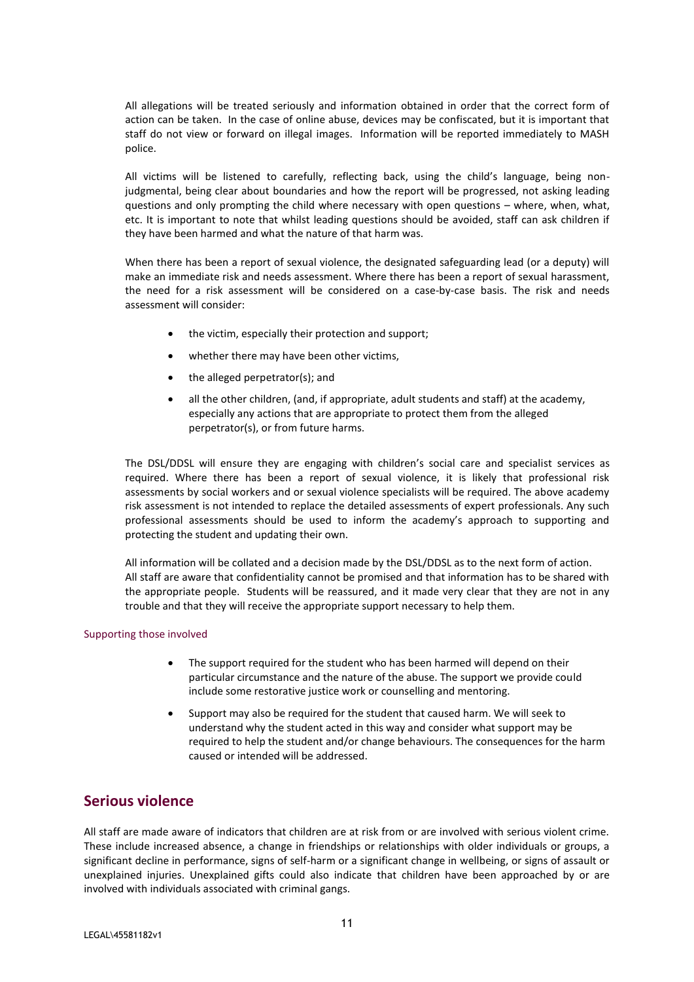All allegations will be treated seriously and information obtained in order that the correct form of action can be taken. In the case of online abuse, devices may be confiscated, but it is important that staff do not view or forward on illegal images. Information will be reported immediately to MASH police.

All victims will be listened to carefully, reflecting back, using the child's language, being nonjudgmental, being clear about boundaries and how the report will be progressed, not asking leading questions and only prompting the child where necessary with open questions – where, when, what, etc. It is important to note that whilst leading questions should be avoided, staff can ask children if they have been harmed and what the nature of that harm was.

When there has been a report of sexual violence, the designated safeguarding lead (or a deputy) will make an immediate risk and needs assessment. Where there has been a report of sexual harassment, the need for a risk assessment will be considered on a case-by-case basis. The risk and needs assessment will consider:

- the victim, especially their protection and support;
- whether there may have been other victims,
- the alleged perpetrator(s); and
- all the other children, (and, if appropriate, adult students and staff) at the academy, especially any actions that are appropriate to protect them from the alleged perpetrator(s), or from future harms.

The DSL/DDSL will ensure they are engaging with children's social care and specialist services as required. Where there has been a report of sexual violence, it is likely that professional risk assessments by social workers and or sexual violence specialists will be required. The above academy risk assessment is not intended to replace the detailed assessments of expert professionals. Any such professional assessments should be used to inform the academy's approach to supporting and protecting the student and updating their own.

All information will be collated and a decision made by the DSL/DDSL as to the next form of action. All staff are aware that confidentiality cannot be promised and that information has to be shared with the appropriate people. Students will be reassured, and it made very clear that they are not in any trouble and that they will receive the appropriate support necessary to help them.

#### Supporting those involved

- The support required for the student who has been harmed will depend on their particular circumstance and the nature of the abuse. The support we provide could include some restorative justice work or counselling and mentoring.
- Support may also be required for the student that caused harm. We will seek to understand why the student acted in this way and consider what support may be required to help the student and/or change behaviours. The consequences for the harm caused or intended will be addressed.

## **Serious violence**

All staff are made aware of indicators that children are at risk from or are involved with serious violent crime. These include increased absence, a change in friendships or relationships with older individuals or groups, a significant decline in performance, signs of self-harm or a significant change in wellbeing, or signs of assault or unexplained injuries. Unexplained gifts could also indicate that children have been approached by or are involved with individuals associated with criminal gangs.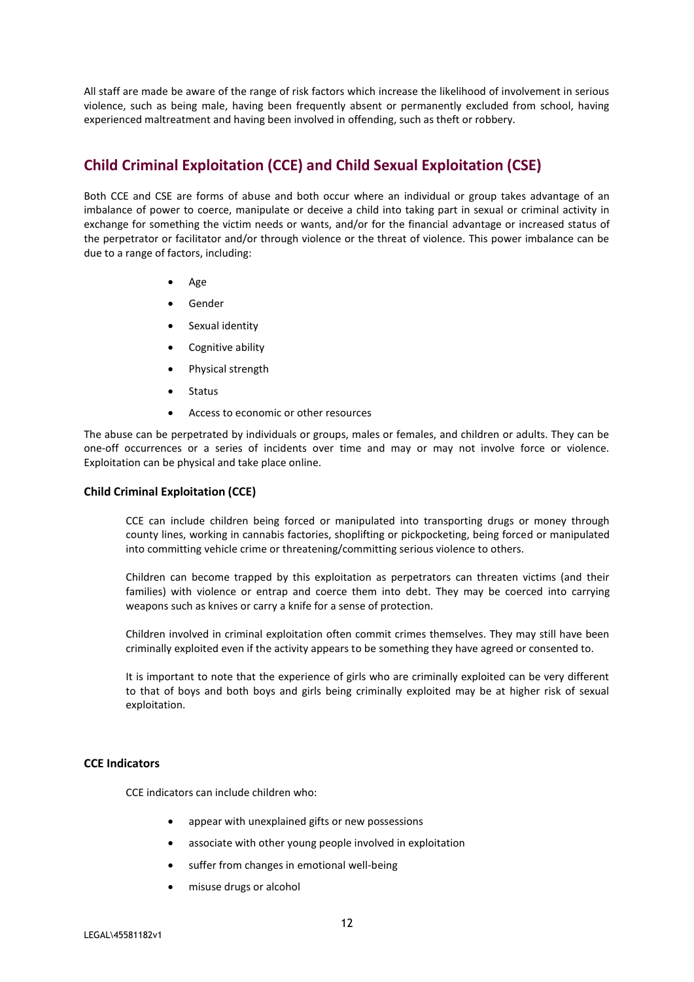All staff are made be aware of the range of risk factors which increase the likelihood of involvement in serious violence, such as being male, having been frequently absent or permanently excluded from school, having experienced maltreatment and having been involved in offending, such as theft or robbery.

## **Child Criminal Exploitation (CCE) and Child Sexual Exploitation (CSE)**

Both CCE and CSE are forms of abuse and both occur where an individual or group takes advantage of an imbalance of power to coerce, manipulate or deceive a child into taking part in sexual or criminal activity in exchange for something the victim needs or wants, and/or for the financial advantage or increased status of the perpetrator or facilitator and/or through violence or the threat of violence. This power imbalance can be due to a range of factors, including:

- Age
- **Gender**
- Sexual identity
- Cognitive ability
- Physical strength
- **Status**
- Access to economic or other resources

The abuse can be perpetrated by individuals or groups, males or females, and children or adults. They can be one-off occurrences or a series of incidents over time and may or may not involve force or violence. Exploitation can be physical and take place online.

## **Child Criminal Exploitation (CCE)**

CCE can include children being forced or manipulated into transporting drugs or money through county lines, working in cannabis factories, shoplifting or pickpocketing, being forced or manipulated into committing vehicle crime or threatening/committing serious violence to others.

Children can become trapped by this exploitation as perpetrators can threaten victims (and their families) with violence or entrap and coerce them into debt. They may be coerced into carrying weapons such as knives or carry a knife for a sense of protection.

Children involved in criminal exploitation often commit crimes themselves. They may still have been criminally exploited even if the activity appears to be something they have agreed or consented to.

It is important to note that the experience of girls who are criminally exploited can be very different to that of boys and both boys and girls being criminally exploited may be at higher risk of sexual exploitation.

## **CCE Indicators**

CCE indicators can include children who:

- appear with unexplained gifts or new possessions
- associate with other young people involved in exploitation
- suffer from changes in emotional well-being
- misuse drugs or alcohol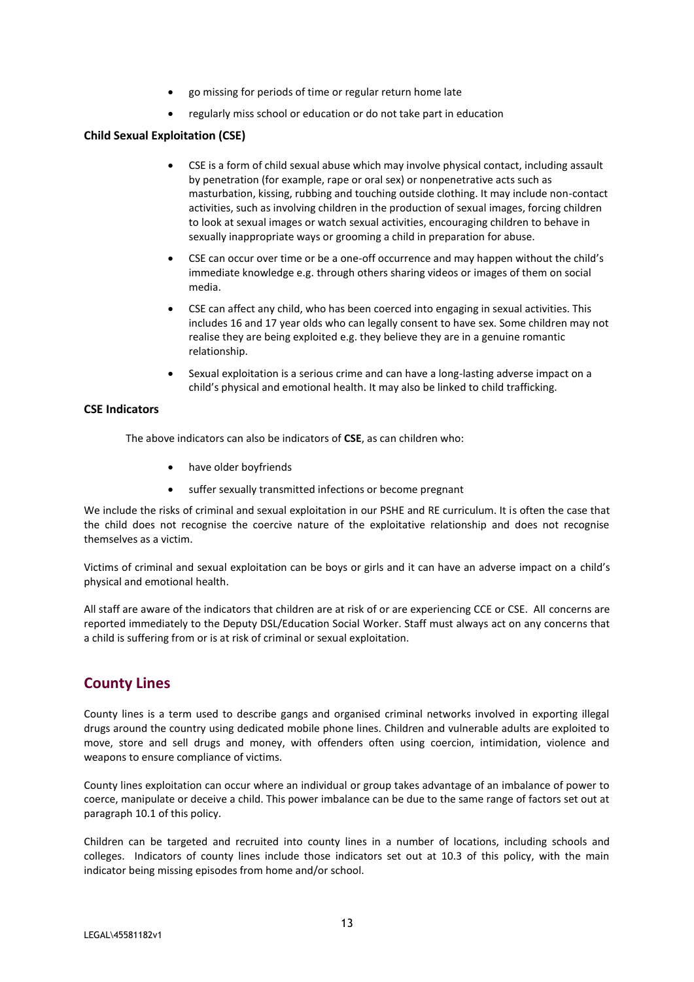- go missing for periods of time or regular return home late
- regularly miss school or education or do not take part in education

#### **Child Sexual Exploitation (CSE)**

- CSE is a form of child sexual abuse which may involve physical contact, including assault by penetration (for example, rape or oral sex) or nonpenetrative acts such as masturbation, kissing, rubbing and touching outside clothing. It may include non-contact activities, such as involving children in the production of sexual images, forcing children to look at sexual images or watch sexual activities, encouraging children to behave in sexually inappropriate ways or grooming a child in preparation for abuse.
- CSE can occur over time or be a one-off occurrence and may happen without the child's immediate knowledge e.g. through others sharing videos or images of them on social media.
- CSE can affect any child, who has been coerced into engaging in sexual activities. This includes 16 and 17 year olds who can legally consent to have sex. Some children may not realise they are being exploited e.g. they believe they are in a genuine romantic relationship.
- Sexual exploitation is a serious crime and can have a long-lasting adverse impact on a child's physical and emotional health. It may also be linked to child trafficking.

## **CSE Indicators**

The above indicators can also be indicators of **CSE**, as can children who:

- have older boyfriends
- suffer sexually transmitted infections or become pregnant

We include the risks of criminal and sexual exploitation in our PSHE and RE curriculum. It is often the case that the child does not recognise the coercive nature of the exploitative relationship and does not recognise themselves as a victim.

Victims of criminal and sexual exploitation can be boys or girls and it can have an adverse impact on a child's physical and emotional health.

All staff are aware of the indicators that children are at risk of or are experiencing CCE or CSE. All concerns are reported immediately to the Deputy DSL/Education Social Worker. Staff must always act on any concerns that a child is suffering from or is at risk of criminal or sexual exploitation.

## **County Lines**

County lines is a term used to describe gangs and organised criminal networks involved in exporting illegal drugs around the country using dedicated mobile phone lines. Children and vulnerable adults are exploited to move, store and sell drugs and money, with offenders often using coercion, intimidation, violence and weapons to ensure compliance of victims.

County lines exploitation can occur where an individual or group takes advantage of an imbalance of power to coerce, manipulate or deceive a child. This power imbalance can be due to the same range of factors set out at paragraph 10.1 of this policy.

Children can be targeted and recruited into county lines in a number of locations, including schools and colleges. Indicators of county lines include those indicators set out at 10.3 of this policy, with the main indicator being missing episodes from home and/or school.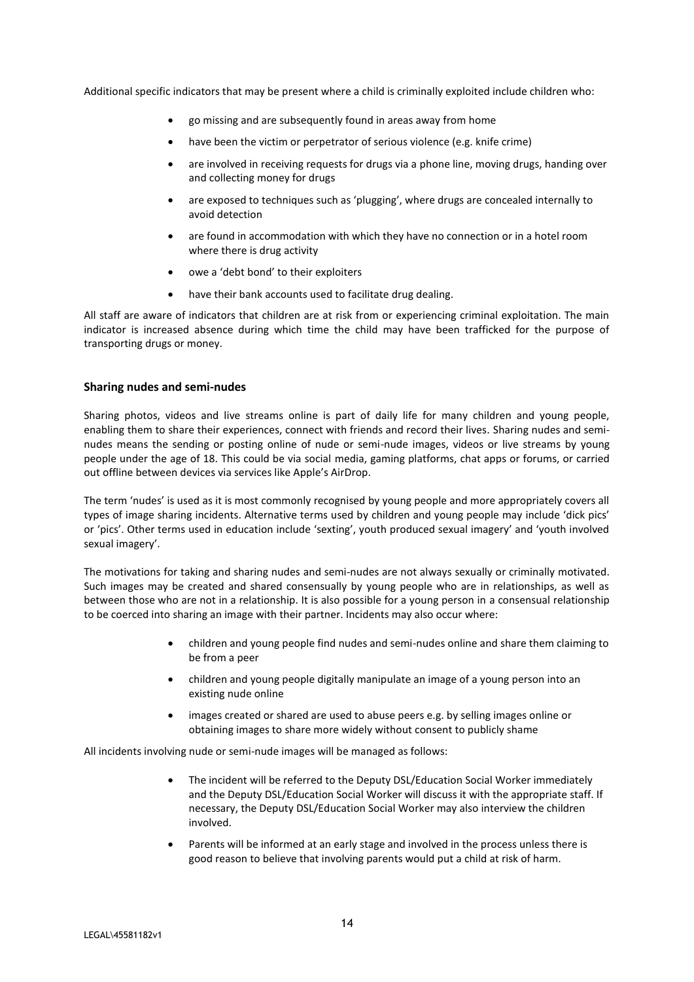Additional specific indicators that may be present where a child is criminally exploited include children who:

- go missing and are subsequently found in areas away from home
- have been the victim or perpetrator of serious violence (e.g. knife crime)
- are involved in receiving requests for drugs via a phone line, moving drugs, handing over and collecting money for drugs
- are exposed to techniques such as 'plugging', where drugs are concealed internally to avoid detection
- are found in accommodation with which they have no connection or in a hotel room where there is drug activity
- owe a 'debt bond' to their exploiters
- have their bank accounts used to facilitate drug dealing.

All staff are aware of indicators that children are at risk from or experiencing criminal exploitation. The main indicator is increased absence during which time the child may have been trafficked for the purpose of transporting drugs or money.

#### **Sharing nudes and semi-nudes**

Sharing photos, videos and live streams online is part of daily life for many children and young people, enabling them to share their experiences, connect with friends and record their lives. Sharing nudes and seminudes means the sending or posting online of nude or semi-nude images, videos or live streams by young people under the age of 18. This could be via social media, gaming platforms, chat apps or forums, or carried out offline between devices via services like Apple's AirDrop.

The term 'nudes' is used as it is most commonly recognised by young people and more appropriately covers all types of image sharing incidents. Alternative terms used by children and young people may include 'dick pics' or 'pics'. Other terms used in education include 'sexting', youth produced sexual imagery' and 'youth involved sexual imagery'.

The motivations for taking and sharing nudes and semi-nudes are not always sexually or criminally motivated. Such images may be created and shared consensually by young people who are in relationships, as well as between those who are not in a relationship. It is also possible for a young person in a consensual relationship to be coerced into sharing an image with their partner. Incidents may also occur where:

- children and young people find nudes and semi-nudes online and share them claiming to be from a peer
- children and young people digitally manipulate an image of a young person into an existing nude online
- images created or shared are used to abuse peers e.g. by selling images online or obtaining images to share more widely without consent to publicly shame

All incidents involving nude or semi-nude images will be managed as follows:

- The incident will be referred to the Deputy DSL/Education Social Worker immediately and the Deputy DSL/Education Social Worker will discuss it with the appropriate staff. If necessary, the Deputy DSL/Education Social Worker may also interview the children involved.
- Parents will be informed at an early stage and involved in the process unless there is good reason to believe that involving parents would put a child at risk of harm.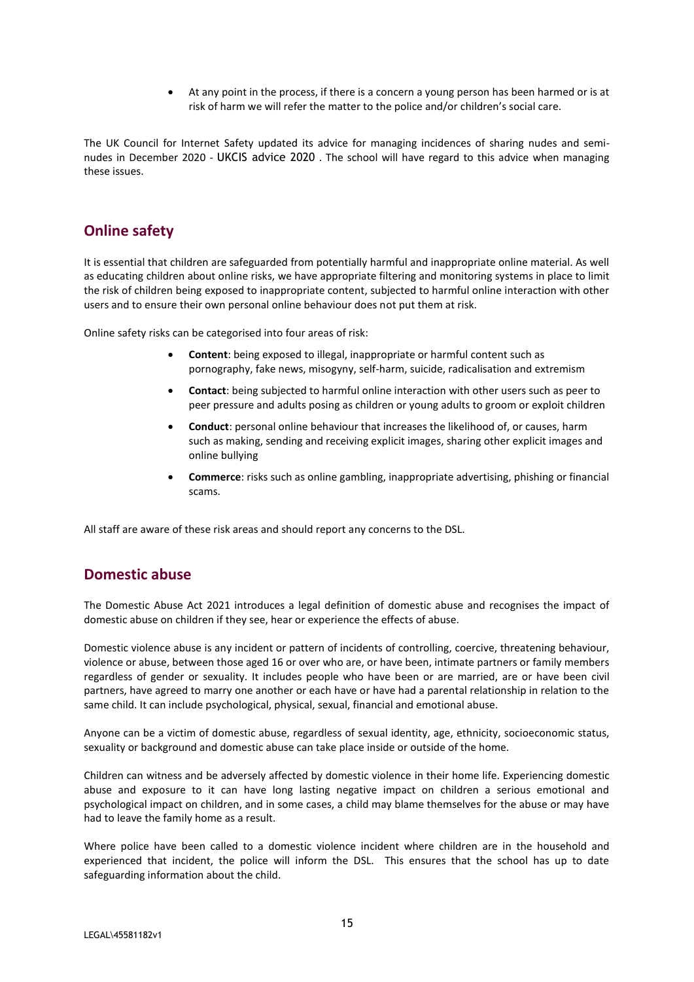• At any point in the process, if there is a concern a young person has been harmed or is at risk of harm we will refer the matter to the police and/or children's social care.

The UK Council for Internet Safety updated its advice for managing incidences of sharing nudes and seminudes in December 2020 - [UKCIS advice 2020](https://www.gov.uk/government/publications/sharing-nudes-and-semi-nudes-advice-for-education-settings-working-with-children-and-young-people/sharing-nudes-and-semi-nudes-advice-for-education-settings-working-with-children-and-young-people) . The school will have regard to this advice when managing these issues.

## **Online safety**

It is essential that children are safeguarded from potentially harmful and inappropriate online material. As well as educating children about online risks, we have appropriate filtering and monitoring systems in place to limit the risk of children being exposed to inappropriate content, subjected to harmful online interaction with other users and to ensure their own personal online behaviour does not put them at risk.

Online safety risks can be categorised into four areas of risk:

- **Content**: being exposed to illegal, inappropriate or harmful content such as pornography, fake news, misogyny, self-harm, suicide, radicalisation and extremism
- **Contact**: being subjected to harmful online interaction with other users such as peer to peer pressure and adults posing as children or young adults to groom or exploit children
- **Conduct**: personal online behaviour that increases the likelihood of, or causes, harm such as making, sending and receiving explicit images, sharing other explicit images and online bullying
- **Commerce**: risks such as online gambling, inappropriate advertising, phishing or financial scams.

All staff are aware of these risk areas and should report any concerns to the DSL.

## **Domestic abuse**

The Domestic Abuse Act 2021 introduces a legal definition of domestic abuse and recognises the impact of domestic abuse on children if they see, hear or experience the effects of abuse.

Domestic violence abuse is any incident or pattern of incidents of controlling, coercive, threatening behaviour, violence or abuse, between those aged 16 or over who are, or have been, intimate partners or family members regardless of gender or sexuality. It includes people who have been or are married, are or have been civil partners, have agreed to marry one another or each have or have had a parental relationship in relation to the same child. It can include psychological, physical, sexual, financial and emotional abuse.

Anyone can be a victim of domestic abuse, regardless of sexual identity, age, ethnicity, socioeconomic status, sexuality or background and domestic abuse can take place inside or outside of the home.

Children can witness and be adversely affected by domestic violence in their home life. Experiencing domestic abuse and exposure to it can have long lasting negative impact on children a serious emotional and psychological impact on children, and in some cases, a child may blame themselves for the abuse or may have had to leave the family home as a result.

Where police have been called to a domestic violence incident where children are in the household and experienced that incident, the police will inform the DSL. This ensures that the school has up to date safeguarding information about the child.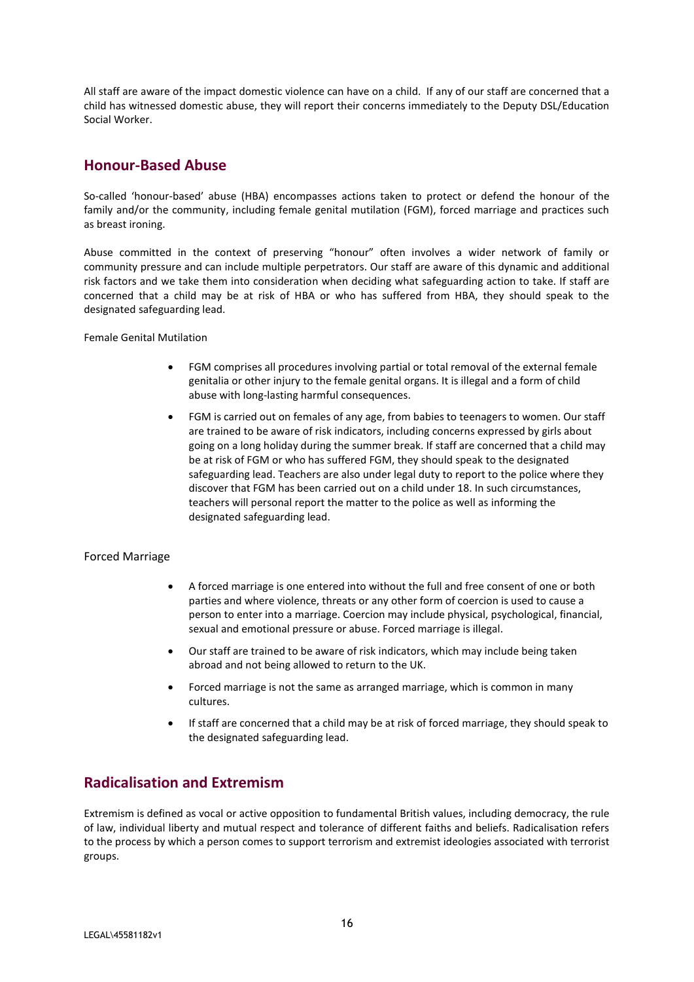All staff are aware of the impact domestic violence can have on a child. If any of our staff are concerned that a child has witnessed domestic abuse, they will report their concerns immediately to the Deputy DSL/Education Social Worker.

## **Honour-Based Abuse**

So-called 'honour-based' abuse (HBA) encompasses actions taken to protect or defend the honour of the family and/or the community, including female genital mutilation (FGM), forced marriage and practices such as breast ironing.

Abuse committed in the context of preserving "honour" often involves a wider network of family or community pressure and can include multiple perpetrators. Our staff are aware of this dynamic and additional risk factors and we take them into consideration when deciding what safeguarding action to take. If staff are concerned that a child may be at risk of HBA or who has suffered from HBA, they should speak to the designated safeguarding lead.

Female Genital Mutilation

- FGM comprises all procedures involving partial or total removal of the external female genitalia or other injury to the female genital organs. It is illegal and a form of child abuse with long-lasting harmful consequences.
- FGM is carried out on females of any age, from babies to teenagers to women. Our staff are trained to be aware of risk indicators, including concerns expressed by girls about going on a long holiday during the summer break. If staff are concerned that a child may be at risk of FGM or who has suffered FGM, they should speak to the designated safeguarding lead. Teachers are also under legal duty to report to the police where they discover that FGM has been carried out on a child under 18. In such circumstances, teachers will personal report the matter to the police as well as informing the designated safeguarding lead.

#### Forced Marriage

- A forced marriage is one entered into without the full and free consent of one or both parties and where violence, threats or any other form of coercion is used to cause a person to enter into a marriage. Coercion may include physical, psychological, financial, sexual and emotional pressure or abuse. Forced marriage is illegal.
- Our staff are trained to be aware of risk indicators, which may include being taken abroad and not being allowed to return to the UK.
- Forced marriage is not the same as arranged marriage, which is common in many cultures.
- If staff are concerned that a child may be at risk of forced marriage, they should speak to the designated safeguarding lead.

## **Radicalisation and Extremism**

Extremism is defined as vocal or active opposition to fundamental British values, including democracy, the rule of law, individual liberty and mutual respect and tolerance of different faiths and beliefs. Radicalisation refers to the process by which a person comes to support terrorism and extremist ideologies associated with terrorist groups.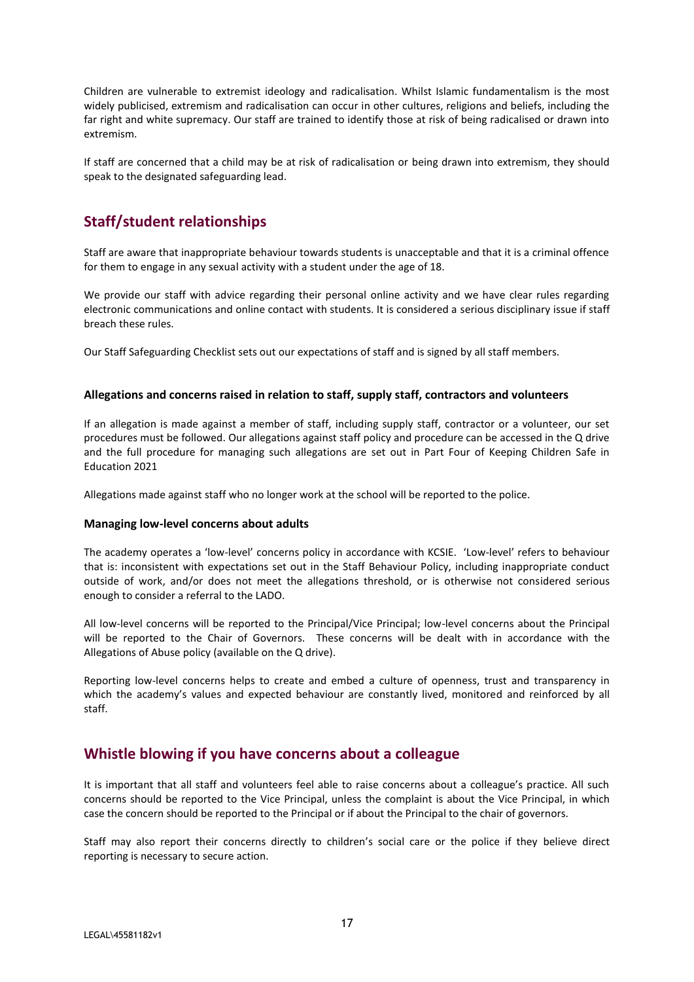Children are vulnerable to extremist ideology and radicalisation. Whilst Islamic fundamentalism is the most widely publicised, extremism and radicalisation can occur in other cultures, religions and beliefs, including the far right and white supremacy. Our staff are trained to identify those at risk of being radicalised or drawn into extremism.

If staff are concerned that a child may be at risk of radicalisation or being drawn into extremism, they should speak to the designated safeguarding lead.

## **Staff/student relationships**

Staff are aware that inappropriate behaviour towards students is unacceptable and that it is a criminal offence for them to engage in any sexual activity with a student under the age of 18.

We provide our staff with advice regarding their personal online activity and we have clear rules regarding electronic communications and online contact with students. It is considered a serious disciplinary issue if staff breach these rules.

Our Staff Safeguarding Checklist sets out our expectations of staff and is signed by all staff members.

#### **Allegations and concerns raised in relation to staff, supply staff, contractors and volunteers**

If an allegation is made against a member of staff, including supply staff, contractor or a volunteer, our set procedures must be followed. Our allegations against staff policy and procedure can be accessed in the Q drive and the full procedure for managing such allegations are set out in Part Four of Keeping Children Safe in Education 2021

Allegations made against staff who no longer work at the school will be reported to the police.

#### **Managing low-level concerns about adults**

The academy operates a 'low-level' concerns policy in accordance with KCSIE. 'Low-level' refers to behaviour that is: inconsistent with expectations set out in the Staff Behaviour Policy, including inappropriate conduct outside of work, and/or does not meet the allegations threshold, or is otherwise not considered serious enough to consider a referral to the LADO.

All low-level concerns will be reported to the Principal/Vice Principal; low-level concerns about the Principal will be reported to the Chair of Governors. These concerns will be dealt with in accordance with the Allegations of Abuse policy (available on the Q drive).

Reporting low-level concerns helps to create and embed a culture of openness, trust and transparency in which the academy's values and expected behaviour are constantly lived, monitored and reinforced by all staff.

## **Whistle blowing if you have concerns about a colleague**

It is important that all staff and volunteers feel able to raise concerns about a colleague's practice. All such concerns should be reported to the Vice Principal, unless the complaint is about the Vice Principal, in which case the concern should be reported to the Principal or if about the Principal to the chair of governors.

Staff may also report their concerns directly to children's social care or the police if they believe direct reporting is necessary to secure action.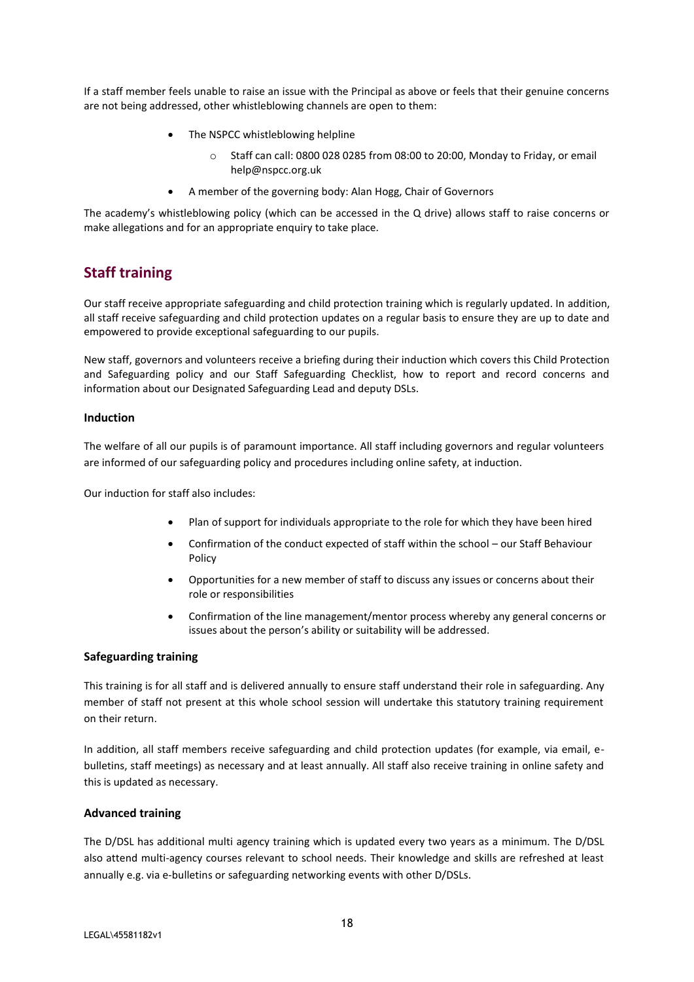If a staff member feels unable to raise an issue with the Principal as above or feels that their genuine concerns are not being addressed, other whistleblowing channels are open to them:

- The NSPCC whistleblowing helpline
	- o Staff can call: 0800 028 0285 from 08:00 to 20:00, Monday to Friday, or email [help@nspcc.org.uk](mailto:help@nspcc.org.uk)
- A member of the governing body: Alan Hogg, Chair of Governors

The academy's whistleblowing policy (which can be accessed in the Q drive) allows staff to raise concerns or make allegations and for an appropriate enquiry to take place.

## **Staff training**

Our staff receive appropriate safeguarding and child protection training which is regularly updated. In addition, all staff receive safeguarding and child protection updates on a regular basis to ensure they are up to date and empowered to provide exceptional safeguarding to our pupils.

New staff, governors and volunteers receive a briefing during their induction which covers this Child Protection and Safeguarding policy and our Staff Safeguarding Checklist, how to report and record concerns and information about our Designated Safeguarding Lead and deputy DSLs.

## **Induction**

The welfare of all our pupils is of paramount importance. All staff including governors and regular volunteers are informed of our safeguarding policy and procedures including online safety, at induction.

Our induction for staff also includes:

- Plan of support for individuals appropriate to the role for which they have been hired
- Confirmation of the conduct expected of staff within the school our Staff Behaviour Policy
- Opportunities for a new member of staff to discuss any issues or concerns about their role or responsibilities
- Confirmation of the line management/mentor process whereby any general concerns or issues about the person's ability or suitability will be addressed.

#### **Safeguarding training**

This training is for all staff and is delivered annually to ensure staff understand their role in safeguarding. Any member of staff not present at this whole school session will undertake this statutory training requirement on their return.

In addition, all staff members receive safeguarding and child protection updates (for example, via email, ebulletins, staff meetings) as necessary and at least annually. All staff also receive training in online safety and this is updated as necessary.

#### **Advanced training**

The D/DSL has additional multi agency training which is updated every two years as a minimum. The D/DSL also attend multi-agency courses relevant to school needs. Their knowledge and skills are refreshed at least annually e.g. via e-bulletins or safeguarding networking events with other D/DSLs.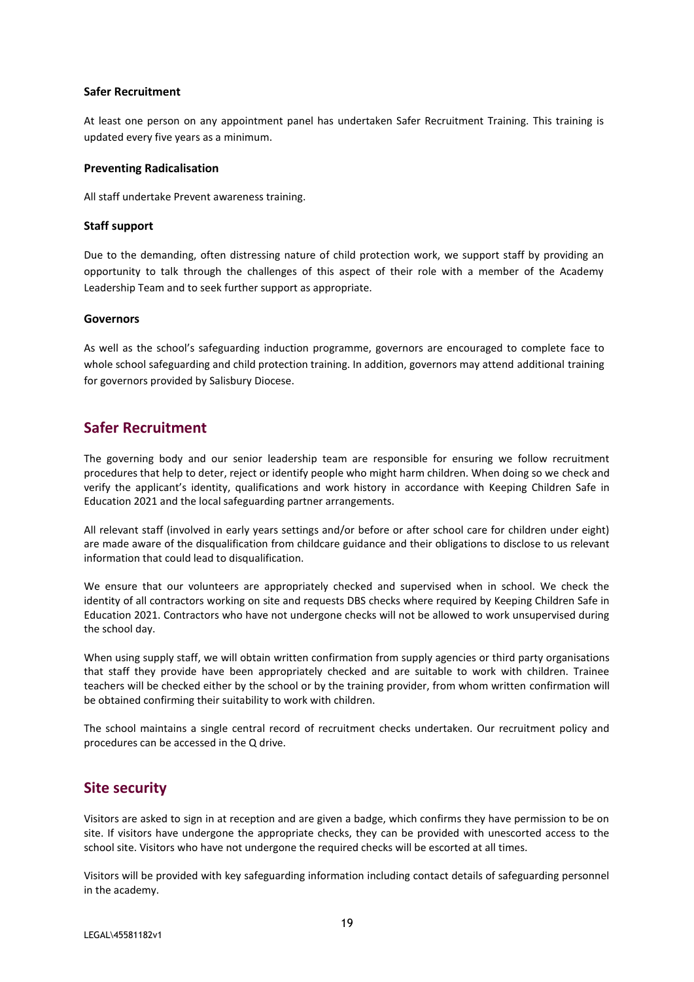#### **Safer Recruitment**

At least one person on any appointment panel has undertaken Safer Recruitment Training. This training is updated every five years as a minimum.

#### **Preventing Radicalisation**

All staff undertake Prevent awareness training.

## **Staff support**

Due to the demanding, often distressing nature of child protection work, we support staff by providing an opportunity to talk through the challenges of this aspect of their role with a member of the Academy Leadership Team and to seek further support as appropriate.

## **Governors**

As well as the school's safeguarding induction programme, governors are encouraged to complete face to whole school safeguarding and child protection training. In addition, governors may attend additional training for governors provided by Salisbury Diocese.

## **Safer Recruitment**

The governing body and our senior leadership team are responsible for ensuring we follow recruitment procedures that help to deter, reject or identify people who might harm children. When doing so we check and verify the applicant's identity, qualifications and work history in accordance with Keeping Children Safe in Education 2021 and the local safeguarding partner arrangements.

All relevant staff (involved in early years settings and/or before or after school care for children under eight) are made aware of the disqualification from childcare guidance and their obligations to disclose to us relevant information that could lead to disqualification.

We ensure that our volunteers are appropriately checked and supervised when in school. We check the identity of all contractors working on site and requests DBS checks where required by Keeping Children Safe in Education 2021. Contractors who have not undergone checks will not be allowed to work unsupervised during the school day.

When using supply staff, we will obtain written confirmation from supply agencies or third party organisations that staff they provide have been appropriately checked and are suitable to work with children. Trainee teachers will be checked either by the school or by the training provider, from whom written confirmation will be obtained confirming their suitability to work with children.

The school maintains a single central record of recruitment checks undertaken. Our recruitment policy and procedures can be accessed in the Q drive.

## **Site security**

Visitors are asked to sign in at reception and are given a badge, which confirms they have permission to be on site. If visitors have undergone the appropriate checks, they can be provided with unescorted access to the school site. Visitors who have not undergone the required checks will be escorted at all times.

Visitors will be provided with key safeguarding information including contact details of safeguarding personnel in the academy.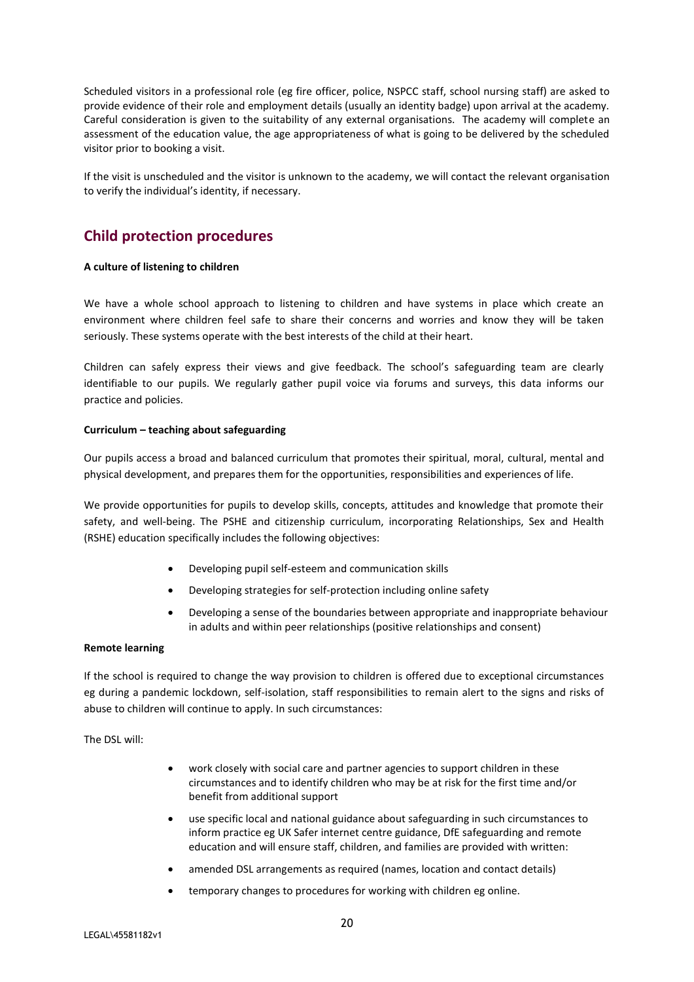Scheduled visitors in a professional role (eg fire officer, police, NSPCC staff, school nursing staff) are asked to provide evidence of their role and employment details (usually an identity badge) upon arrival at the academy. Careful consideration is given to the suitability of any external organisations. The academy will complete an assessment of the education value, the age appropriateness of what is going to be delivered by the scheduled visitor prior to booking a visit.

If the visit is unscheduled and the visitor is unknown to the academy, we will contact the relevant organisation to verify the individual's identity, if necessary.

## **Child protection procedures**

#### **A culture of listening to children**

We have a whole school approach to listening to children and have systems in place which create an environment where children feel safe to share their concerns and worries and know they will be taken seriously. These systems operate with the best interests of the child at their heart.

Children can safely express their views and give feedback. The school's safeguarding team are clearly identifiable to our pupils. We regularly gather pupil voice via forums and surveys, this data informs our practice and policies.

#### **Curriculum – teaching about safeguarding**

Our pupils access a broad and balanced curriculum that promotes their spiritual, moral, cultural, mental and physical development, and prepares them for the opportunities, responsibilities and experiences of life.

We provide opportunities for pupils to develop skills, concepts, attitudes and knowledge that promote their safety, and well-being. The PSHE and citizenship curriculum, incorporating Relationships, Sex and Health (RSHE) education specifically includes the following objectives:

- Developing pupil self-esteem and communication skills
- Developing strategies for self-protection including online safety
- Developing a sense of the boundaries between appropriate and inappropriate behaviour in adults and within peer relationships (positive relationships and consent)

#### **Remote learning**

If the school is required to change the way provision to children is offered due to exceptional circumstances eg during a pandemic lockdown, self-isolation, staff responsibilities to remain alert to the signs and risks of abuse to children will continue to apply. In such circumstances:

The DSL will:

- work closely with social care and partner agencies to support children in these circumstances and to identify children who may be at risk for the first time and/or benefit from additional support
- use specific local and national guidance about safeguarding in such circumstances to inform practice eg UK Safer internet centre guidance, DfE safeguarding and remote education and will ensure staff, children, and families are provided with written:
- amended DSL arrangements as required (names, location and contact details)
- temporary changes to procedures for working with children eg online.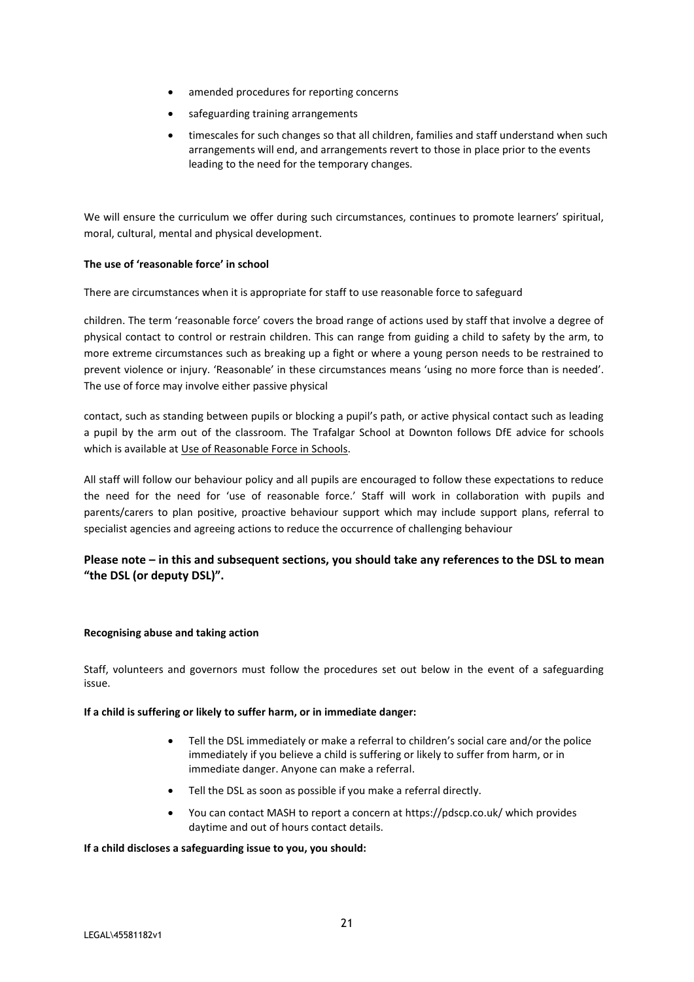- amended procedures for reporting concerns
- safeguarding training arrangements
- timescales for such changes so that all children, families and staff understand when such arrangements will end, and arrangements revert to those in place prior to the events leading to the need for the temporary changes.

We will ensure the curriculum we offer during such circumstances, continues to promote learners' spiritual, moral, cultural, mental and physical development.

## **The use of 'reasonable force' in school**

There are circumstances when it is appropriate for staff to use reasonable force to safeguard

children. The term 'reasonable force' covers the broad range of actions used by staff that involve a degree of physical contact to control or restrain children. This can range from guiding a child to safety by the arm, to more extreme circumstances such as breaking up a fight or where a young person needs to be restrained to prevent violence or injury. 'Reasonable' in these circumstances means 'using no more force than is needed'. The use of force may involve either passive physical

contact, such as standing between pupils or blocking a pupil's path, or active physical contact such as leading a pupil by the arm out of the classroom. The Trafalgar School at Downton follows DfE advice for schools which is available a[t Use of Reasonable Force in Schools.](https://assets.publishing.service.gov.uk/government/uploads/system/uploads/attachment_data/file/444051/Use_of_reasonable_force_advice_Reviewed_July_2015.pdf)

All staff will follow our behaviour policy and all pupils are encouraged to follow these expectations to reduce the need for the need for 'use of reasonable force.' Staff will work in collaboration with pupils and parents/carers to plan positive, proactive behaviour support which may include support plans, referral to specialist agencies and agreeing actions to reduce the occurrence of challenging behaviour

## **Please note – in this and subsequent sections, you should take any references to the DSL to mean "the DSL (or deputy DSL)".**

## **Recognising abuse and taking action**

Staff, volunteers and governors must follow the procedures set out below in the event of a safeguarding issue.

#### **If a child is suffering or likely to suffer harm, or in immediate danger:**

- Tell the DSL immediately or make a referral to children's social care and/or the police immediately if you believe a child is suffering or likely to suffer from harm, or in immediate danger. Anyone can make a referral.
- Tell the DSL as soon as possible if you make a referral directly.
- You can contact MASH to report a concern a[t https://pdscp.co.uk/](https://pdscp.co.uk/) which provides daytime and out of hours contact details.

#### **If a child discloses a safeguarding issue to you, you should:**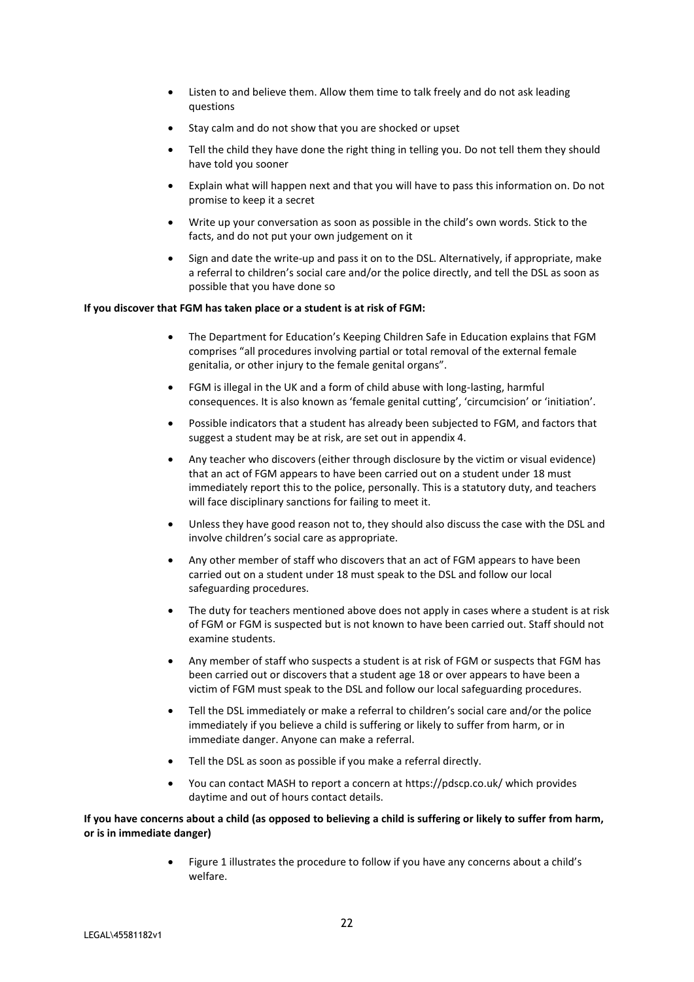- Listen to and believe them. Allow them time to talk freely and do not ask leading questions
- Stay calm and do not show that you are shocked or upset
- Tell the child they have done the right thing in telling you. Do not tell them they should have told you sooner
- Explain what will happen next and that you will have to pass this information on. Do not promise to keep it a secret
- Write up your conversation as soon as possible in the child's own words. Stick to the facts, and do not put your own judgement on it
- Sign and date the write-up and pass it on to the DSL. Alternatively, if appropriate, make a referral to children's social care and/or the police directly, and tell the DSL as soon as possible that you have done so

#### **If you discover that FGM has taken place or a student is at risk of FGM:**

- The Department for Education's Keeping Children Safe in Education explains that FGM comprises "all procedures involving partial or total removal of the external female genitalia, or other injury to the female genital organs".
- FGM is illegal in the UK and a form of child abuse with long-lasting, harmful consequences. It is also known as 'female genital cutting', 'circumcision' or 'initiation'.
- Possible indicators that a student has already been subjected to FGM, and factors that suggest a student may be at risk, are set out in appendix 4.
- Any teacher who discovers (either through disclosure by the victim or visual evidence) that an act of FGM appears to have been carried out on a student under 18 must immediately report this to the police, personally. This is a statutory duty, and teachers will face disciplinary sanctions for failing to meet it.
- Unless they have good reason not to, they should also discuss the case with the DSL and involve children's social care as appropriate.
- Any other member of staff who discovers that an act of FGM appears to have been carried out on a student under 18 must speak to the DSL and follow our local safeguarding procedures.
- The duty for teachers mentioned above does not apply in cases where a student is at risk of FGM or FGM is suspected but is not known to have been carried out. Staff should not examine students.
- Any member of staff who suspects a student is at risk of FGM or suspects that FGM has been carried out or discovers that a student age 18 or over appears to have been a victim of FGM must speak to the DSL and follow our local safeguarding procedures.
- Tell the DSL immediately or make a referral to children's social care and/or the police immediately if you believe a child is suffering or likely to suffer from harm, or in immediate danger. Anyone can make a referral.
- Tell the DSL as soon as possible if you make a referral directly.
- You can contact MASH to report a concern a[t https://pdscp.co.uk/](https://pdscp.co.uk/) which provides daytime and out of hours contact details.

## **If you have concerns about a child (as opposed to believing a child is suffering or likely to suffer from harm, or is in immediate danger)**

• Figure 1 illustrates the procedure to follow if you have any concerns about a child's welfare.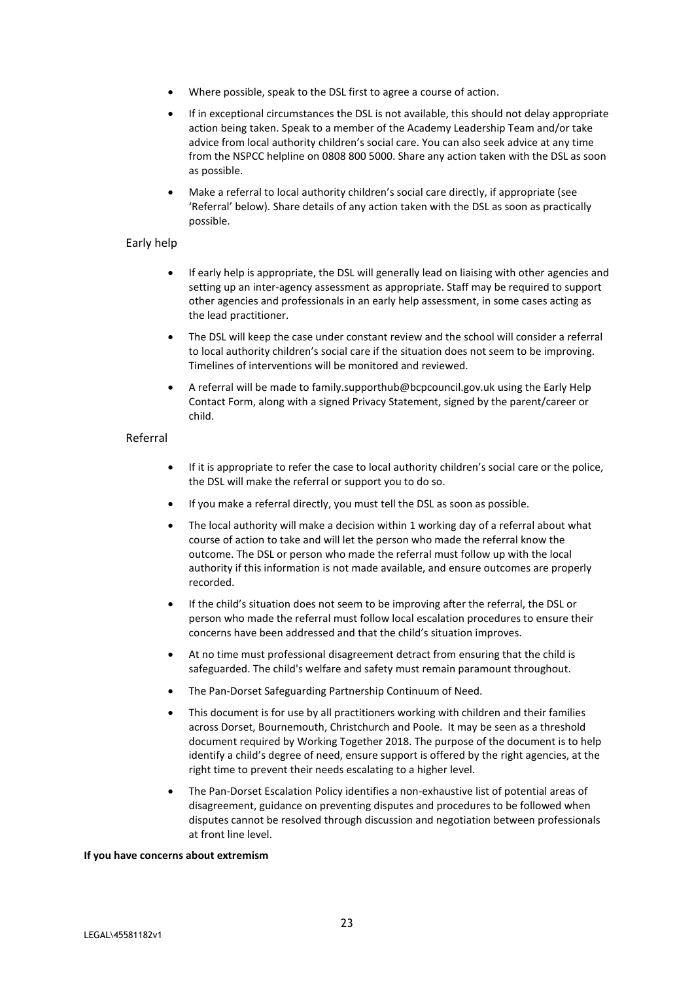- Where possible, speak to the DSL first to agree a course of action.
- If in exceptional circumstances the DSL is not available, this should not delay appropriate action being taken. Speak to a member of the Academy Leadership Team and/or take advice from local authority children's social care. You can also seek advice at any time from the NSPCC helpline on 0808 800 5000. Share any action taken with the DSL as soon as possible.
- Make a referral to local authority children's social care directly, if appropriate (see 'Referral' below). Share details of any action taken with the DSL as soon as practically possible.

## Early help

- If early help is appropriate, the DSL will generally lead on liaising with other agencies and setting up an inter-agency assessment as appropriate. Staff may be required to support other agencies and professionals in an early help assessment, in some cases acting as the lead practitioner.
- The DSL will keep the case under constant review and the school will consider a referral to local authority children's social care if the situation does not seem to be improving. Timelines of interventions will be monitored and reviewed.
- A referral will be made to [family.supporthub@bcpcouncil.gov.uk](mailto:family.supporthub@bcpcouncil.gov.uk) using the Early Help Contact Form, along with a signed Privacy Statement, signed by the parent/career or child.

## Referral

- If it is appropriate to refer the case to local authority children's social care or the police, the DSL will make the referral or support you to do so.
- If you make a referral directly, you must tell the DSL as soon as possible.
- The local authority will make a decision within 1 working day of a referral about what course of action to take and will let the person who made the referral know the outcome. The DSL or person who made the referral must follow up with the local authority if this information is not made available, and ensure outcomes are properly recorded.
- If the child's situation does not seem to be improving after the referral, the DSL or person who made the referral must follow local escalation procedures to ensure their concerns have been addressed and that the child's situation improves.
- At no time must professional disagreement detract from ensuring that the child is safeguarded. The child's welfare and safety must remain paramount throughout.
- The Pan-Dorset Safeguarding Partnership Continuum of Need.
- This document is for use by all practitioners working with children and their families across Dorset, Bournemouth, Christchurch and Poole. It may be seen as a threshold document required by Working Together 2018. The purpose of the document is to help identify a child's degree of need, ensure support is offered by the right agencies, at the right time to prevent their needs escalating to a higher level.
- Th[e Pan-Dorset Escalation Policy](https://pandorsetscb.proceduresonline.com/p_escalation.html) identifies a non-exhaustive list of potential areas of disagreement, guidance on preventing disputes and procedures to be followed when disputes cannot be resolved through discussion and negotiation between professionals at front line level.

#### **If you have concerns about extremism**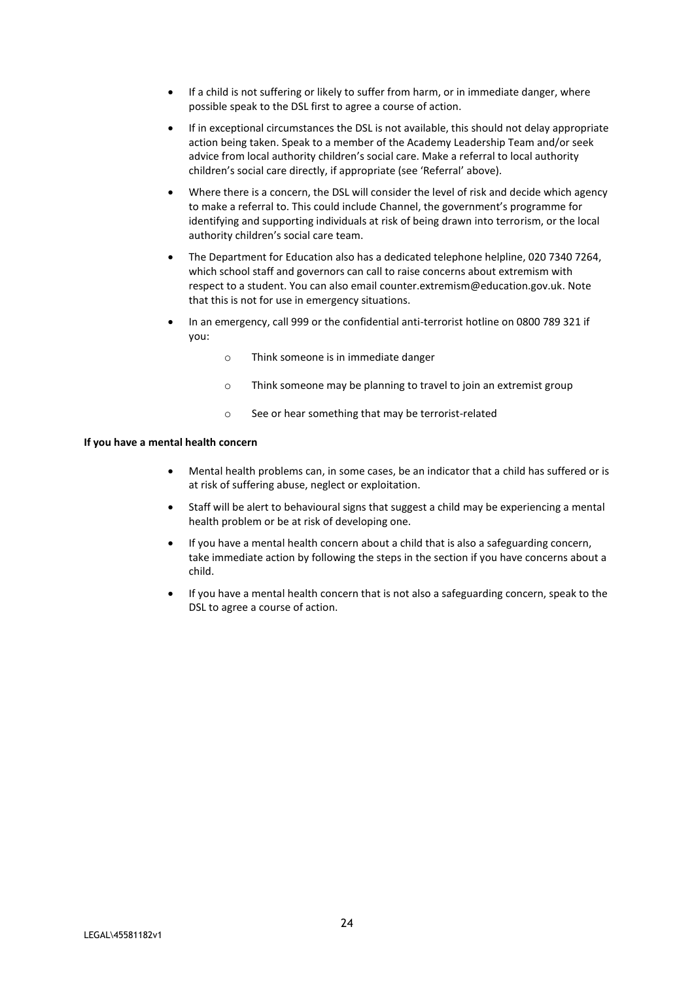- If a child is not suffering or likely to suffer from harm, or in immediate danger, where possible speak to the DSL first to agree a course of action.
- If in exceptional circumstances the DSL is not available, this should not delay appropriate action being taken. Speak to a member of the Academy Leadership Team and/or seek advice from local authority children's social care. Make a referral to local authority children's social care directly, if appropriate (see 'Referral' above).
- Where there is a concern, the DSL will consider the level of risk and decide which agency to make a referral to. This could includ[e Channel](https://www.gov.uk/government/publications/channel-guidance), the government's programme for identifying and supporting individuals at risk of being drawn into terrorism, or the local authority children's social care team.
- The Department for Education also has a dedicated telephone helpline, 020 7340 7264, which school staff and governors can call to raise concerns about extremism with respect to a student. You can also email [counter.extremism@education.gov.uk.](mailto:counter.extremism@education.gov.uk) Note that this is not for use in emergency situations.
- In an emergency, call 999 or the confidential anti-terrorist hotline on 0800 789 321 if you:
	- o Think someone is in immediate danger
	- o Think someone may be planning to travel to join an extremist group
	- o See or hear something that may be terrorist-related

#### **If you have a mental health concern**

- Mental health problems can, in some cases, be an indicator that a child has suffered or is at risk of suffering abuse, neglect or exploitation.
- Staff will be alert to behavioural signs that suggest a child may be experiencing a mental health problem or be at risk of developing one.
- If you have a mental health concern about a child that is also a safeguarding concern, take immediate action by following the steps in the section if you have concerns about a child.
- If you have a mental health concern that is not also a safeguarding concern, speak to the DSL to agree a course of action.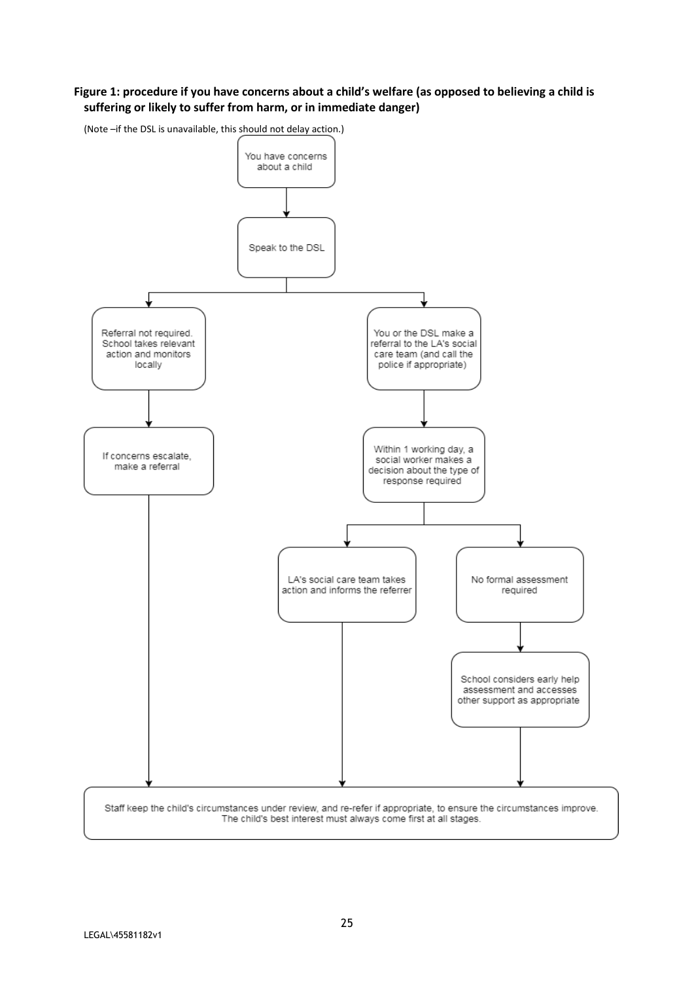## **Figure 1: procedure if you have concerns about a child's welfare (as opposed to believing a child is suffering or likely to suffer from harm, or in immediate danger)**

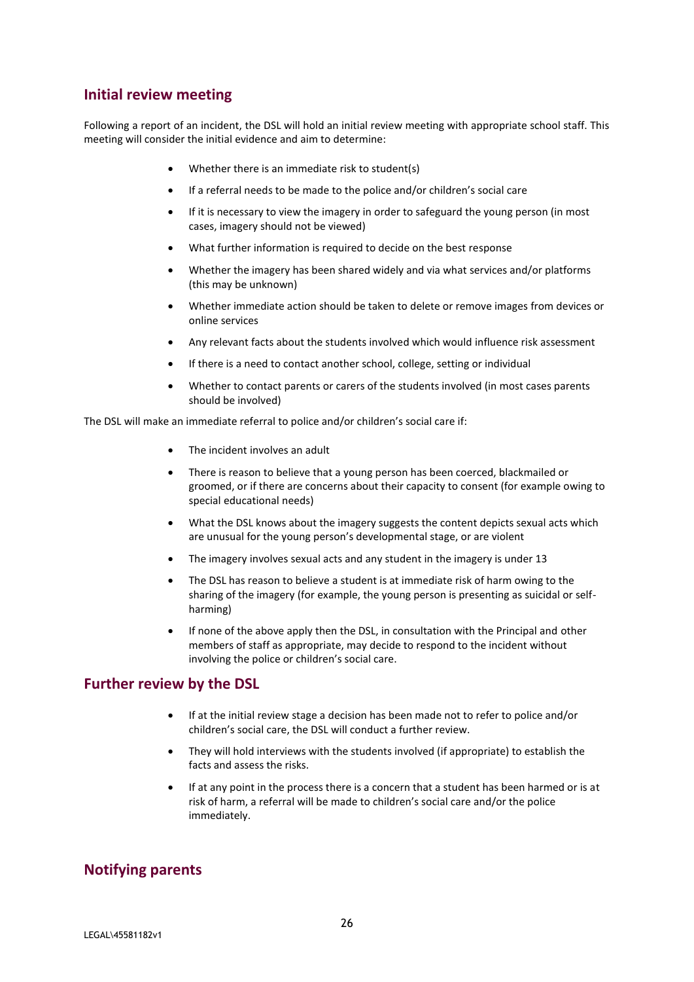## **Initial review meeting**

Following a report of an incident, the DSL will hold an initial review meeting with appropriate school staff. This meeting will consider the initial evidence and aim to determine:

- Whether there is an immediate risk to student(s)
- If a referral needs to be made to the police and/or children's social care
- If it is necessary to view the imagery in order to safeguard the young person (in most cases, imagery should not be viewed)
- What further information is required to decide on the best response
- Whether the imagery has been shared widely and via what services and/or platforms (this may be unknown)
- Whether immediate action should be taken to delete or remove images from devices or online services
- Any relevant facts about the students involved which would influence risk assessment
- If there is a need to contact another school, college, setting or individual
- Whether to contact parents or carers of the students involved (in most cases parents should be involved)

The DSL will make an immediate referral to police and/or children's social care if:

- The incident involves an adult
- There is reason to believe that a young person has been coerced, blackmailed or groomed, or if there are concerns about their capacity to consent (for example owing to special educational needs)
- What the DSL knows about the imagery suggests the content depicts sexual acts which are unusual for the young person's developmental stage, or are violent
- The imagery involves sexual acts and any student in the imagery is under 13
- The DSL has reason to believe a student is at immediate risk of harm owing to the sharing of the imagery (for example, the young person is presenting as suicidal or selfharming)
- If none of the above apply then the DSL, in consultation with the Principal and other members of staff as appropriate, may decide to respond to the incident without involving the police or children's social care.

## **Further review by the DSL**

- If at the initial review stage a decision has been made not to refer to police and/or children's social care, the DSL will conduct a further review.
- They will hold interviews with the students involved (if appropriate) to establish the facts and assess the risks.
- If at any point in the process there is a concern that a student has been harmed or is at risk of harm, a referral will be made to children's social care and/or the police immediately.

## **Notifying parents**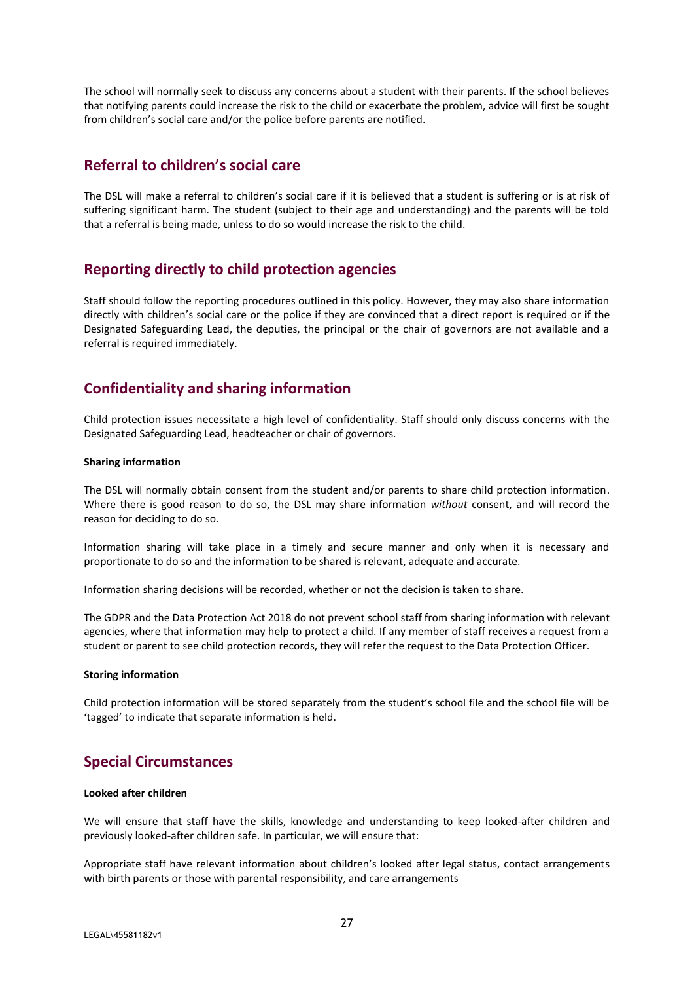The school will normally seek to discuss any concerns about a student with their parents. If the school believes that notifying parents could increase the risk to the child or exacerbate the problem, advice will first be sought from children's social care and/or the police before parents are notified.

## **Referral to children's social care**

The DSL will make a referral to children's social care if it is believed that a student is suffering or is at risk of suffering significant harm. The student (subject to their age and understanding) and the parents will be told that a referral is being made, unless to do so would increase the risk to the child.

## **Reporting directly to child protection agencies**

Staff should follow the reporting procedures outlined in this policy. However, they may also share information directly with children's social care or the police if they are convinced that a direct report is required or if the Designated Safeguarding Lead, the deputies, the principal or the chair of governors are not available and a referral is required immediately.

## **Confidentiality and sharing information**

Child protection issues necessitate a high level of confidentiality. Staff should only discuss concerns with the Designated Safeguarding Lead, headteacher or chair of governors.

#### **Sharing information**

The DSL will normally obtain consent from the student and/or parents to share child protection information. Where there is good reason to do so, the DSL may share information *without* consent, and will record the reason for deciding to do so.

Information sharing will take place in a timely and secure manner and only when it is necessary and proportionate to do so and the information to be shared is relevant, adequate and accurate.

Information sharing decisions will be recorded, whether or not the decision is taken to share.

The GDPR and the Data Protection Act 2018 do not prevent school staff from sharing information with relevant agencies, where that information may help to protect a child. If any member of staff receives a request from a student or parent to see child protection records, they will refer the request to the Data Protection Officer.

#### **Storing information**

Child protection information will be stored separately from the student's school file and the school file will be 'tagged' to indicate that separate information is held.

## **Special Circumstances**

#### **Looked after children**

We will ensure that staff have the skills, knowledge and understanding to keep looked-after children and previously looked-after children safe. In particular, we will ensure that:

Appropriate staff have relevant information about children's looked after legal status, contact arrangements with birth parents or those with parental responsibility, and care arrangements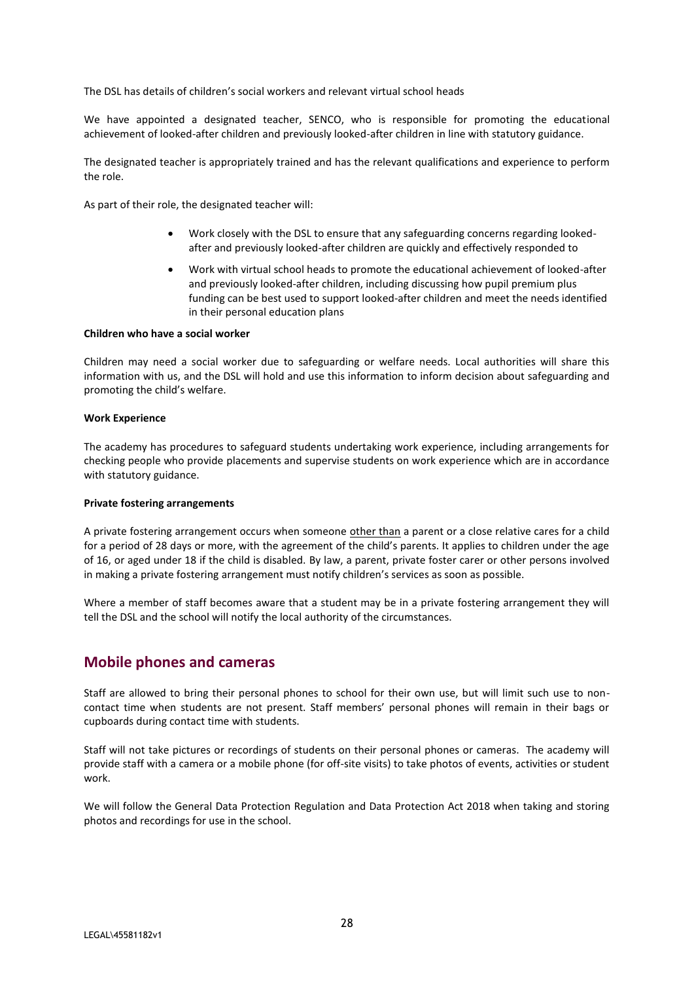The DSL has details of children's social workers and relevant virtual school heads

We have appointed a designated teacher, SENCO, who is responsible for promoting the educational achievement of looked-after children and previously looked-after children in line with [statutory guidance.](https://www.gov.uk/government/publications/designated-teacher-for-looked-after-children)

The designated teacher is appropriately trained and has the relevant qualifications and experience to perform the role.

As part of their role, the designated teacher will:

- Work closely with the DSL to ensure that any safeguarding concerns regarding lookedafter and previously looked-after children are quickly and effectively responded to
- Work with virtual school heads to promote the educational achievement of looked-after and previously looked-after children, including discussing how pupil premium plus funding can be best used to support looked-after children and meet the needs identified in their personal education plans

#### **Children who have a social worker**

Children may need a social worker due to safeguarding or welfare needs. Local authorities will share this information with us, and the DSL will hold and use this information to inform decision about safeguarding and promoting the child's welfare.

#### **Work Experience**

The academy has procedures to safeguard students undertaking work experience, including arrangements for checking people who provide placements and supervise students on work experience which are in accordance with statutory guidance.

#### **Private fostering arrangements**

A private fostering arrangement occurs when someone other than a parent or a close relative cares for a child for a period of 28 days or more, with the agreement of the child's parents. It applies to children under the age of 16, or aged under 18 if the child is disabled. By law, a parent, private foster carer or other persons involved in making a private fostering arrangement must notify children's services as soon as possible.

Where a member of staff becomes aware that a student may be in a private fostering arrangement they will tell the DSL and the school will notify the local authority of the circumstances.

## **Mobile phones and cameras**

Staff are allowed to bring their personal phones to school for their own use, but will limit such use to noncontact time when students are not present. Staff members' personal phones will remain in their bags or cupboards during contact time with students.

Staff will not take pictures or recordings of students on their personal phones or cameras. The academy will provide staff with a camera or a mobile phone (for off-site visits) to take photos of events, activities or student work.

We will follow the General Data Protection Regulation and Data Protection Act 2018 when taking and storing photos and recordings for use in the school.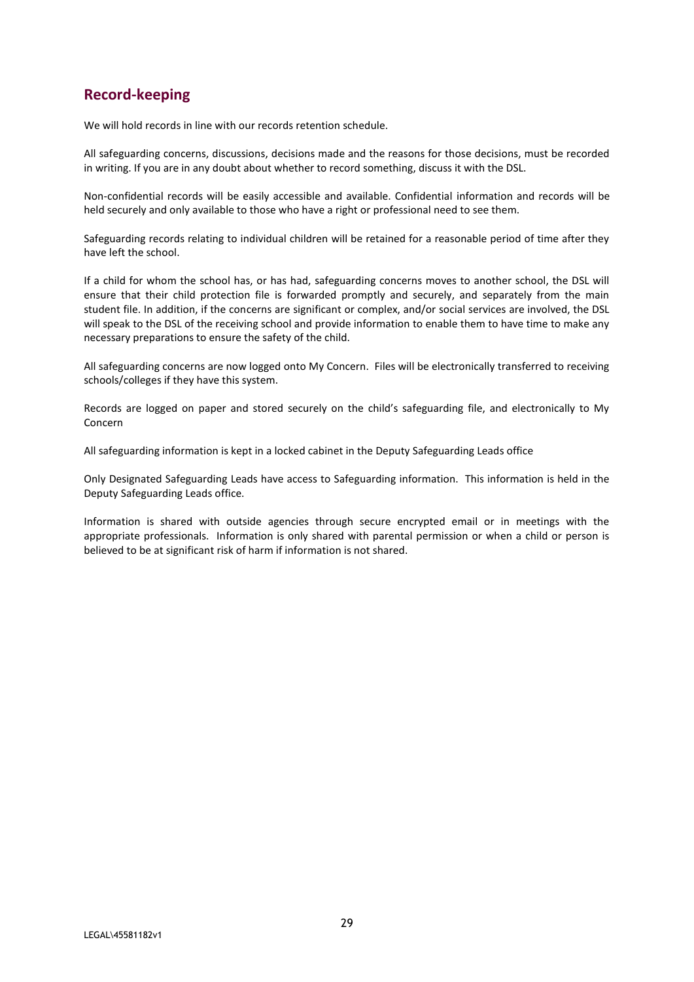## **Record-keeping**

We will hold records in line with our records retention schedule.

All safeguarding concerns, discussions, decisions made and the reasons for those decisions, must be recorded in writing. If you are in any doubt about whether to record something, discuss it with the DSL.

Non-confidential records will be easily accessible and available. Confidential information and records will be held securely and only available to those who have a right or professional need to see them.

Safeguarding records relating to individual children will be retained for a reasonable period of time after they have left the school.

If a child for whom the school has, or has had, safeguarding concerns moves to another school, the DSL will ensure that their child protection file is forwarded promptly and securely, and separately from the main student file. In addition, if the concerns are significant or complex, and/or social services are involved, the DSL will speak to the DSL of the receiving school and provide information to enable them to have time to make any necessary preparations to ensure the safety of the child.

All safeguarding concerns are now logged onto My Concern. Files will be electronically transferred to receiving schools/colleges if they have this system.

Records are logged on paper and stored securely on the child's safeguarding file, and electronically to My Concern

All safeguarding information is kept in a locked cabinet in the Deputy Safeguarding Leads office

Only Designated Safeguarding Leads have access to Safeguarding information. This information is held in the Deputy Safeguarding Leads office.

Information is shared with outside agencies through secure encrypted email or in meetings with the appropriate professionals. Information is only shared with parental permission or when a child or person is believed to be at significant risk of harm if information is not shared.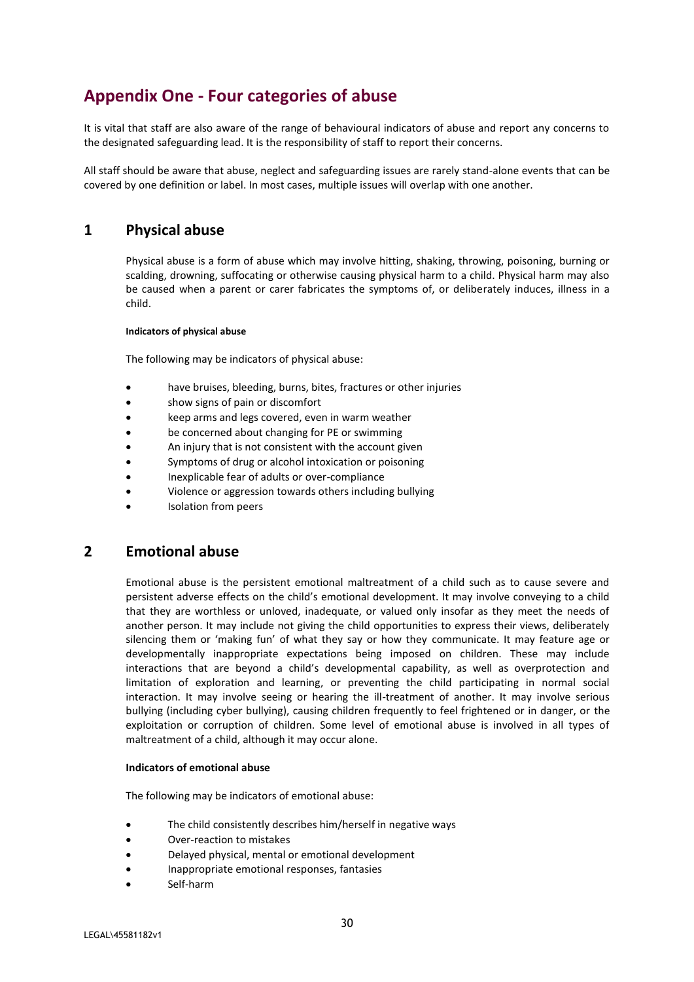## **Appendix One - Four categories of abuse**

It is vital that staff are also aware of the range of behavioural indicators of abuse and report any concerns to the designated safeguarding lead. It is the responsibility of staff to report their concerns.

All staff should be aware that abuse, neglect and safeguarding issues are rarely stand-alone events that can be covered by one definition or label. In most cases, multiple issues will overlap with one another.

## **1 Physical abuse**

Physical abuse is a form of abuse which may involve hitting, shaking, throwing, poisoning, burning or scalding, drowning, suffocating or otherwise causing physical harm to a child. Physical harm may also be caused when a parent or carer fabricates the symptoms of, or deliberately induces, illness in a child.

#### **Indicators of physical abuse**

The following may be indicators of physical abuse:

- have bruises, bleeding, burns, bites, fractures or other injuries
- show signs of pain or discomfort
- keep arms and legs covered, even in warm weather
- be concerned about changing for PE or swimming
- An injury that is not consistent with the account given
- Symptoms of drug or alcohol intoxication or poisoning
- Inexplicable fear of adults or over-compliance
- Violence or aggression towards others including bullying
- Isolation from peers

## **2 Emotional abuse**

Emotional abuse is the persistent emotional maltreatment of a child such as to cause severe and persistent adverse effects on the child's emotional development. It may involve conveying to a child that they are worthless or unloved, inadequate, or valued only insofar as they meet the needs of another person. It may include not giving the child opportunities to express their views, deliberately silencing them or 'making fun' of what they say or how they communicate. It may feature age or developmentally inappropriate expectations being imposed on children. These may include interactions that are beyond a child's developmental capability, as well as overprotection and limitation of exploration and learning, or preventing the child participating in normal social interaction. It may involve seeing or hearing the ill-treatment of another. It may involve serious bullying (including cyber bullying), causing children frequently to feel frightened or in danger, or the exploitation or corruption of children. Some level of emotional abuse is involved in all types of maltreatment of a child, although it may occur alone.

#### **Indicators of emotional abuse**

The following may be indicators of emotional abuse:

- The child consistently describes him/herself in negative ways
- Over-reaction to mistakes
- Delayed physical, mental or emotional development
- Inappropriate emotional responses, fantasies
- Self-harm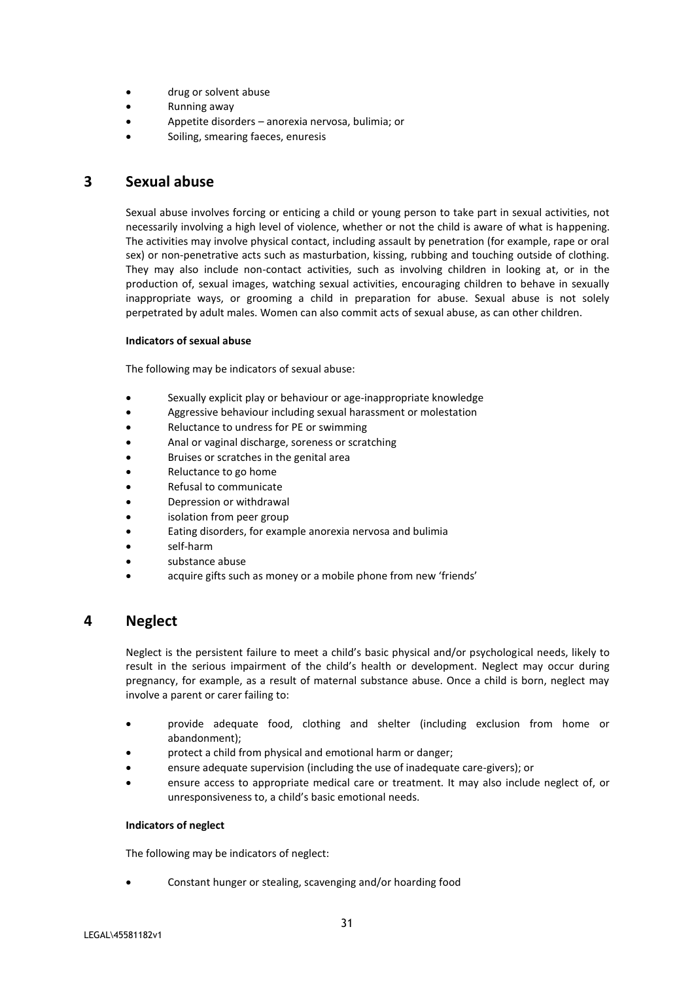- drug or solvent abuse
- Running away
- Appetite disorders anorexia nervosa, bulimia; or
- Soiling, smearing faeces, enuresis

## **3 Sexual abuse**

Sexual abuse involves forcing or enticing a child or young person to take part in sexual activities, not necessarily involving a high level of violence, whether or not the child is aware of what is happening. The activities may involve physical contact, including assault by penetration (for example, rape or oral sex) or non-penetrative acts such as masturbation, kissing, rubbing and touching outside of clothing. They may also include non-contact activities, such as involving children in looking at, or in the production of, sexual images, watching sexual activities, encouraging children to behave in sexually inappropriate ways, or grooming a child in preparation for abuse. Sexual abuse is not solely perpetrated by adult males. Women can also commit acts of sexual abuse, as can other children.

## **Indicators of sexual abuse**

The following may be indicators of sexual abuse:

- Sexually explicit play or behaviour or age-inappropriate knowledge
- Aggressive behaviour including sexual harassment or molestation
- Reluctance to undress for PE or swimming
- Anal or vaginal discharge, soreness or scratching
- Bruises or scratches in the genital area
- Reluctance to go home
- Refusal to communicate
- Depression or withdrawal
- isolation from peer group
- Eating disorders, for example anorexia nervosa and bulimia
- self-harm
- substance abuse
- acquire gifts such as money or a mobile phone from new 'friends'

## **4 Neglect**

Neglect is the persistent failure to meet a child's basic physical and/or psychological needs, likely to result in the serious impairment of the child's health or development. Neglect may occur during pregnancy, for example, as a result of maternal substance abuse. Once a child is born, neglect may involve a parent or carer failing to:

- provide adequate food, clothing and shelter (including exclusion from home or abandonment);
- protect a child from physical and emotional harm or danger;
- ensure adequate supervision (including the use of inadequate care-givers); or
- ensure access to appropriate medical care or treatment. It may also include neglect of, or unresponsiveness to, a child's basic emotional needs.

#### **Indicators of neglect**

The following may be indicators of neglect:

• Constant hunger or stealing, scavenging and/or hoarding food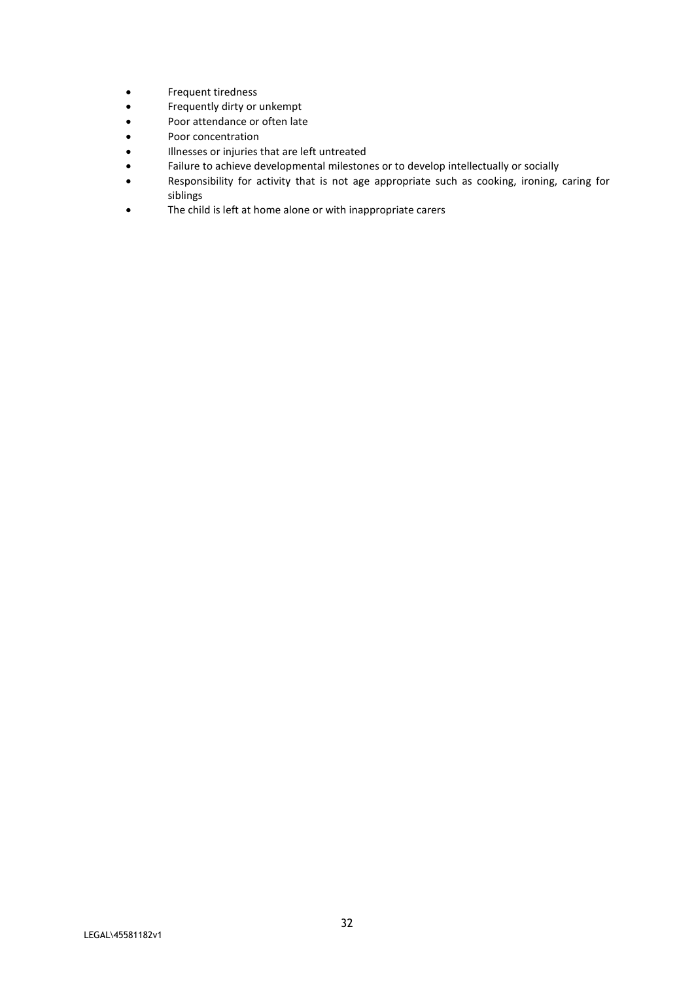- Frequent tiredness
- Frequently dirty or unkempt
- Poor attendance or often late<br>• Poor concentration
- Poor concentration
- Illnesses or injuries that are left untreated
- Failure to achieve developmental milestones or to develop intellectually or socially
- Responsibility for activity that is not age appropriate such as cooking, ironing, caring for siblings
- The child is left at home alone or with inappropriate carers